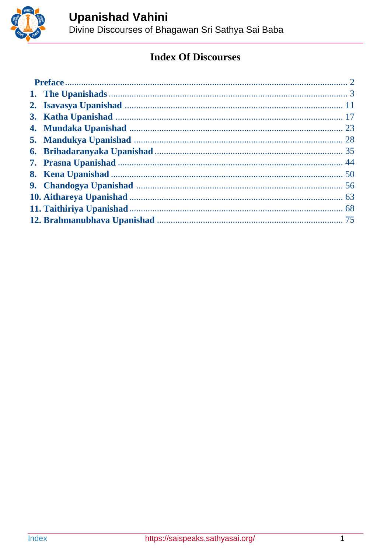<span id="page-0-0"></span>

# **Index Of Discourses**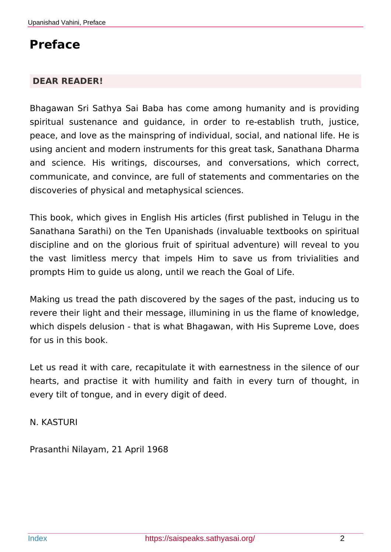# <span id="page-1-0"></span>**Preface**

### **DEAR READER!**

Bhagawan Sri Sathya Sai Baba has come among humanity and is providing spiritual sustenance and guidance, in order to re-establish truth, justice, peace, and love as the mainspring of individual, social, and national life. He is using ancient and modern instruments for this great task, Sanathana Dharma and science. His writings, discourses, and conversations, which correct, communicate, and convince, are full of statements and commentaries on the discoveries of physical and metaphysical sciences.

This book, which gives in English His articles (first published in Telugu in the Sanathana Sarathi) on the Ten Upanishads (invaluable textbooks on spiritual discipline and on the glorious fruit of spiritual adventure) will reveal to you the vast limitless mercy that impels Him to save us from trivialities and prompts Him to guide us along, until we reach the Goal of Life.

Making us tread the path discovered by the sages of the past, inducing us to revere their light and their message, illumining in us the flame of knowledge, which dispels delusion - that is what Bhagawan, with His Supreme Love, does for us in this book.

Let us read it with care, recapitulate it with earnestness in the silence of our hearts, and practise it with humility and faith in every turn of thought, in every tilt of tongue, and in every digit of deed.

N. KASTURI

Prasanthi Nilayam, 21 April 1968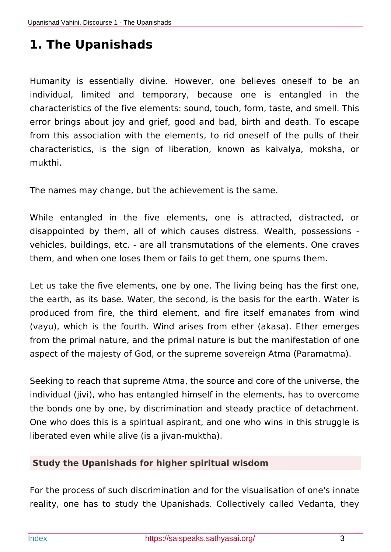# <span id="page-2-0"></span>**1. The Upanishads**

Humanity is essentially divine. However, one believes oneself to be an individual, limited and temporary, because one is entangled in the characteristics of the five elements: sound, touch, form, taste, and smell. This error brings about joy and grief, good and bad, birth and death. To escape from this association with the elements, to rid oneself of the pulls of their characteristics, is the sign of liberation, known as kaivalya, moksha, or mukthi.

The names may change, but the achievement is the same.

While entangled in the five elements, one is attracted, distracted, or disappointed by them, all of which causes distress. Wealth, possessions vehicles, buildings, etc. - are all transmutations of the elements. One craves them, and when one loses them or fails to get them, one spurns them.

Let us take the five elements, one by one. The living being has the first one, the earth, as its base. Water, the second, is the basis for the earth. Water is produced from fire, the third element, and fire itself emanates from wind (vayu), which is the fourth. Wind arises from ether (akasa). Ether emerges from the primal nature, and the primal nature is but the manifestation of one aspect of the majesty of God, or the supreme sovereign Atma (Paramatma).

Seeking to reach that supreme Atma, the source and core of the universe, the individual (jivi), who has entangled himself in the elements, has to overcome the bonds one by one, by discrimination and steady practice of detachment. One who does this is a spiritual aspirant, and one who wins in this struggle is liberated even while alive (is a jivan-muktha).

### **Study the Upanishads for higher spiritual wisdom**

For the process of such discrimination and for the visualisation of one's innate reality, one has to study the Upanishads. Collectively called Vedanta, they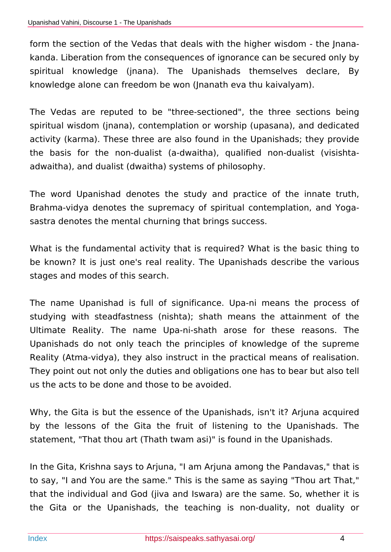form the section of the Vedas that deals with the higher wisdom - the Jnanakanda. Liberation from the consequences of ignorance can be secured only by spiritual knowledge (jnana). The Upanishads themselves declare, By knowledge alone can freedom be won (Jnanath eva thu kaivalyam).

The Vedas are reputed to be "three-sectioned", the three sections being spiritual wisdom (jnana), contemplation or worship (upasana), and dedicated activity (karma). These three are also found in the Upanishads; they provide the basis for the non-dualist (a-dwaitha), qualified non-dualist (visishtaadwaitha), and dualist (dwaitha) systems of philosophy.

The word Upanishad denotes the study and practice of the innate truth, Brahma-vidya denotes the supremacy of spiritual contemplation, and Yogasastra denotes the mental churning that brings success.

What is the fundamental activity that is required? What is the basic thing to be known? It is just one's real reality. The Upanishads describe the various stages and modes of this search.

The name Upanishad is full of significance. Upa-ni means the process of studying with steadfastness (nishta); shath means the attainment of the Ultimate Reality. The name Upa-ni-shath arose for these reasons. The Upanishads do not only teach the principles of knowledge of the supreme Reality (Atma-vidya), they also instruct in the practical means of realisation. They point out not only the duties and obligations one has to bear but also tell us the acts to be done and those to be avoided.

Why, the Gita is but the essence of the Upanishads, isn't it? Arjuna acquired by the lessons of the Gita the fruit of listening to the Upanishads. The statement, "That thou art (Thath twam asi)" is found in the Upanishads.

In the Gita, Krishna says to Arjuna, "I am Arjuna among the Pandavas," that is to say, "I and You are the same." This is the same as saying "Thou art That," that the individual and God (jiva and Iswara) are the same. So, whether it is the Gita or the Upanishads, the teaching is non-duality, not duality or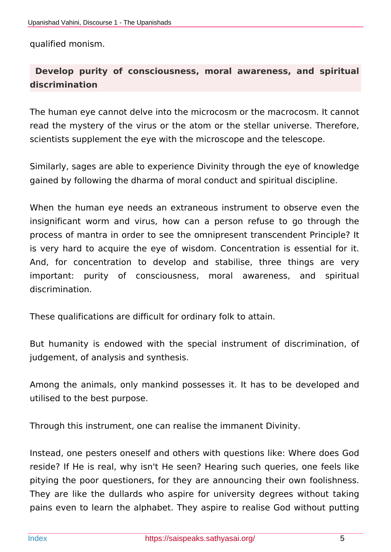qualified monism.

# **Develop purity of consciousness, moral awareness, and spiritual discrimination**

The human eye cannot delve into the microcosm or the macrocosm. It cannot read the mystery of the virus or the atom or the stellar universe. Therefore, scientists supplement the eye with the microscope and the telescope.

Similarly, sages are able to experience Divinity through the eye of knowledge gained by following the dharma of moral conduct and spiritual discipline.

When the human eye needs an extraneous instrument to observe even the insignificant worm and virus, how can a person refuse to go through the process of mantra in order to see the omnipresent transcendent Principle? It is very hard to acquire the eye of wisdom. Concentration is essential for it. And, for concentration to develop and stabilise, three things are very important: purity of consciousness, moral awareness, and spiritual discrimination.

These qualifications are difficult for ordinary folk to attain.

But humanity is endowed with the special instrument of discrimination, of judgement, of analysis and synthesis.

Among the animals, only mankind possesses it. It has to be developed and utilised to the best purpose.

Through this instrument, one can realise the immanent Divinity.

Instead, one pesters oneself and others with questions like: Where does God reside? If He is real, why isn't He seen? Hearing such queries, one feels like pitying the poor questioners, for they are announcing their own foolishness. They are like the dullards who aspire for university degrees without taking pains even to learn the alphabet. They aspire to realise God without putting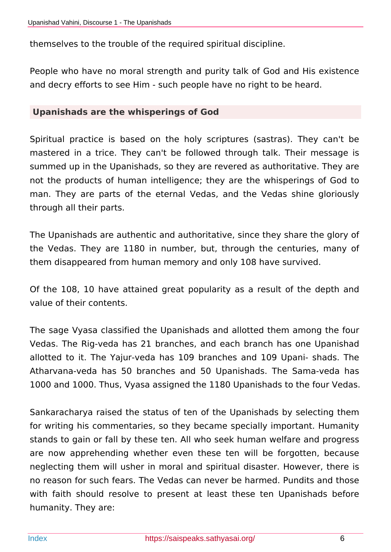themselves to the trouble of the required spiritual discipline.

People who have no moral strength and purity talk of God and His existence and decry efforts to see Him - such people have no right to be heard.

### **Upanishads are the whisperings of God**

Spiritual practice is based on the holy scriptures (sastras). They can't be mastered in a trice. They can't be followed through talk. Their message is summed up in the Upanishads, so they are revered as authoritative. They are not the products of human intelligence; they are the whisperings of God to man. They are parts of the eternal Vedas, and the Vedas shine gloriously through all their parts.

The Upanishads are authentic and authoritative, since they share the glory of the Vedas. They are 1180 in number, but, through the centuries, many of them disappeared from human memory and only 108 have survived.

Of the 108, 10 have attained great popularity as a result of the depth and value of their contents.

The sage Vyasa classified the Upanishads and allotted them among the four Vedas. The Rig-veda has 21 branches, and each branch has one Upanishad allotted to it. The Yajur-veda has 109 branches and 109 Upani- shads. The Atharvana-veda has 50 branches and 50 Upanishads. The Sama-veda has 1000 and 1000. Thus, Vyasa assigned the 1180 Upanishads to the four Vedas.

Sankaracharya raised the status of ten of the Upanishads by selecting them for writing his commentaries, so they became specially important. Humanity stands to gain or fall by these ten. All who seek human welfare and progress are now apprehending whether even these ten will be forgotten, because neglecting them will usher in moral and spiritual disaster. However, there is no reason for such fears. The Vedas can never be harmed. Pundits and those with faith should resolve to present at least these ten Upanishads before humanity. They are: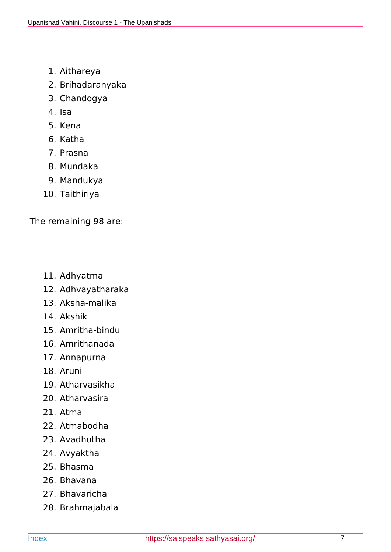- 1. Aithareya
- 2. Brihadaranyaka
- 3. Chandogya
- 4. Isa
- 5. Kena
- 6. Katha
- 7. Prasna
- 8. Mundaka
- 9. Mandukya
- 10. Taithiriya

The remaining 98 are:

- 11. Adhyatma
- 12. Adhvayatharaka
- 13. Aksha-malika
- 14. Akshik
- 15. Amritha-bindu
- 16. Amrithanada
- 17. Annapurna
- 18. Aruni
- 19. Atharvasikha
- 20. Atharvasira
- 21. Atma
- 22. Atmabodha
- 23. Avadhutha
- 24. Avyaktha
- 25. Bhasma
- 26. Bhavana
- 27. Bhavaricha
- 28. Brahmajabala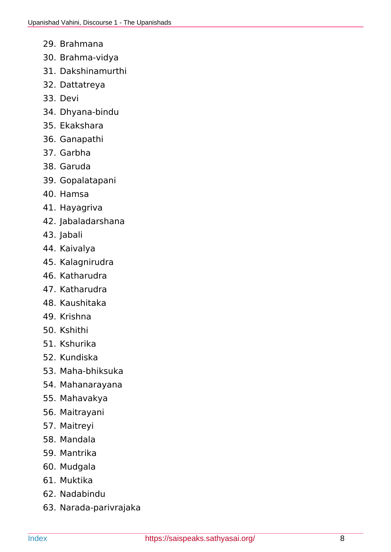- 29. Brahmana
- 30. Brahma-vidya
- 31. Dakshinamurthi
- 32. Dattatreya
- 33. Devi
- 34. Dhyana-bindu
- 35. Ekakshara
- 36. Ganapathi
- 37. Garbha
- 38. Garuda
- 39. Gopalatapani
- 40. Hamsa
- 41. Hayagriva
- 42. Jabaladarshana
- 43. Jabali
- 44. Kaivalya
- 45. Kalagnirudra
- 46. Katharudra
- 47. Katharudra
- 48. Kaushitaka
- 49. Krishna
- 50. Kshithi
- 51. Kshurika
- 52. Kundiska
- 53. Maha-bhiksuka
- 54. Mahanarayana
- 55. Mahavakya
- 56. Maitrayani
- 57. Maitreyi
- 58. Mandala
- 59. Mantrika
- 60. Mudgala
- 61. Muktika
- 62. Nadabindu
- 63. Narada-parivrajaka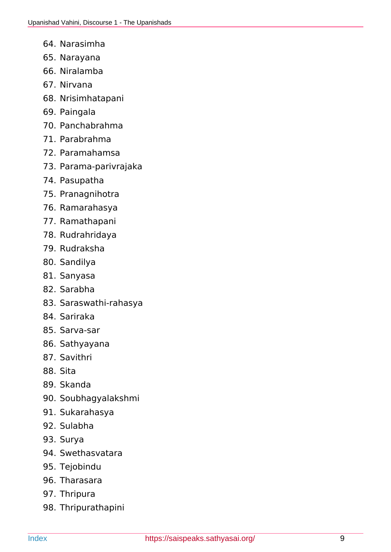- 64. Narasimha
- 65. Narayana
- 66. Niralamba
- 67. Nirvana
- 68. Nrisimhatapani
- 69. Paingala
- 70. Panchabrahma
- 71. Parabrahma
- 72. Paramahamsa
- 73. Parama-parivrajaka
- 74. Pasupatha
- 75. Pranagnihotra
- 76. Ramarahasya
- 77. Ramathapani
- 78. Rudrahridaya
- 79. Rudraksha
- 80. Sandilya
- 81. Sanyasa
- 82. Sarabha
- 83. Saraswathi-rahasya
- 84. Sariraka
- 85. Sarva-sar
- 86. Sathyayana
- 87. Savithri
- 88. Sita
- 89. Skanda
- 90. Soubhagyalakshmi
- 91. Sukarahasya
- 92. Sulabha
- 93. Surya
- 94. Swethasvatara
- 95. Tejobindu
- 96. Tharasara
- 97. Thripura
- 98. Thripurathapini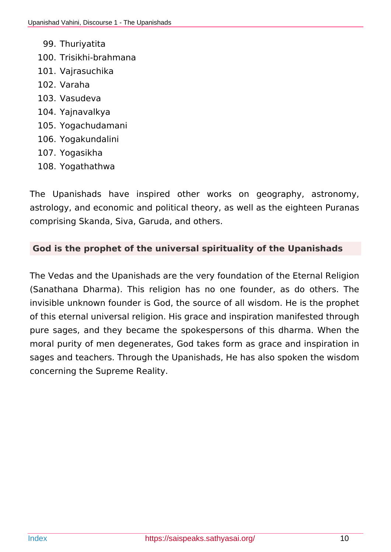- 99. Thuriyatita
- 100. Trisikhi-brahmana
- 101. Vajrasuchika
- 102. Varaha
- 103. Vasudeva
- 104. Yajnavalkya
- 105. Yogachudamani
- 106. Yogakundalini
- 107. Yogasikha
- 108. Yogathathwa

The Upanishads have inspired other works on geography, astronomy, astrology, and economic and political theory, as well as the eighteen Puranas comprising Skanda, Siva, Garuda, and others.

## **God is the prophet of the universal spirituality of the Upanishads**

The Vedas and the Upanishads are the very foundation of the Eternal Religion (Sanathana Dharma). This religion has no one founder, as do others. The invisible unknown founder is God, the source of all wisdom. He is the prophet of this eternal universal religion. His grace and inspiration manifested through pure sages, and they became the spokespersons of this dharma. When the moral purity of men degenerates, God takes form as grace and inspiration in sages and teachers. Through the Upanishads, He has also spoken the wisdom concerning the Supreme Reality.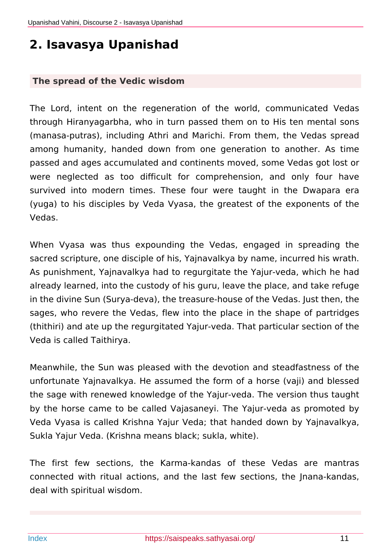# <span id="page-10-0"></span>**2. Isavasya Upanishad**

#### **The spread of the Vedic wisdom**

The Lord, intent on the regeneration of the world, communicated Vedas through Hiranyagarbha, who in turn passed them on to His ten mental sons (manasa-putras), including Athri and Marichi. From them, the Vedas spread among humanity, handed down from one generation to another. As time passed and ages accumulated and continents moved, some Vedas got lost or were neglected as too difficult for comprehension, and only four have survived into modern times. These four were taught in the Dwapara era (yuga) to his disciples by Veda Vyasa, the greatest of the exponents of the Vedas.

When Vyasa was thus expounding the Vedas, engaged in spreading the sacred scripture, one disciple of his, Yajnavalkya by name, incurred his wrath. As punishment, Yajnavalkya had to regurgitate the Yajur-veda, which he had already learned, into the custody of his guru, leave the place, and take refuge in the divine Sun (Surya-deva), the treasure-house of the Vedas. Just then, the sages, who revere the Vedas, flew into the place in the shape of partridges (thithiri) and ate up the regurgitated Yajur-veda. That particular section of the Veda is called Taithirya.

Meanwhile, the Sun was pleased with the devotion and steadfastness of the unfortunate Yajnavalkya. He assumed the form of a horse (vaji) and blessed the sage with renewed knowledge of the Yajur-veda. The version thus taught by the horse came to be called Vajasaneyi. The Yajur-veda as promoted by Veda Vyasa is called Krishna Yajur Veda; that handed down by Yajnavalkya, Sukla Yajur Veda. (Krishna means black; sukla, white).

The first few sections, the Karma-kandas of these Vedas are mantras connected with ritual actions, and the last few sections, the Jnana-kandas, deal with spiritual wisdom.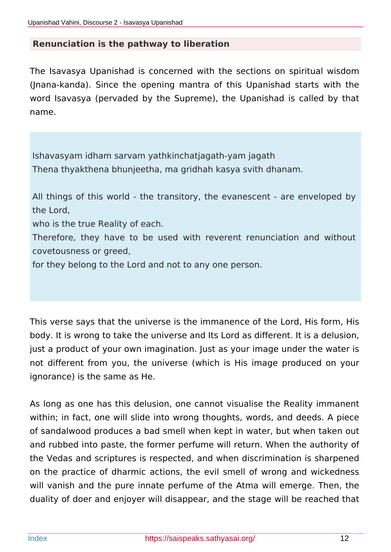### **Renunciation is the pathway to liberation**

The Isavasya Upanishad is concerned with the sections on spiritual wisdom (Jnana-kanda). Since the opening mantra of this Upanishad starts with the word Isavasya (pervaded by the Supreme), the Upanishad is called by that name.

Ishavasyam idham sarvam yathkinchatjagath-yam jagath Thena thyakthena bhunjeetha, ma gridhah kasya svith dhanam.

All things of this world - the transitory, the evanescent - are enveloped by the Lord,

who is the true Reality of each.

Therefore, they have to be used with reverent renunciation and without covetousness or greed,

for they belong to the Lord and not to any one person.

This verse says that the universe is the immanence of the Lord, His form, His body. It is wrong to take the universe and Its Lord as different. It is a delusion, just a product of your own imagination. Just as your image under the water is not different from you, the universe (which is His image produced on your ignorance) is the same as He.

As long as one has this delusion, one cannot visualise the Reality immanent within; in fact, one will slide into wrong thoughts, words, and deeds. A piece of sandalwood produces a bad smell when kept in water, but when taken out and rubbed into paste, the former perfume will return. When the authority of the Vedas and scriptures is respected, and when discrimination is sharpened on the practice of dharmic actions, the evil smell of wrong and wickedness will vanish and the pure innate perfume of the Atma will emerge. Then, the duality of doer and enjoyer will disappear, and the stage will be reached that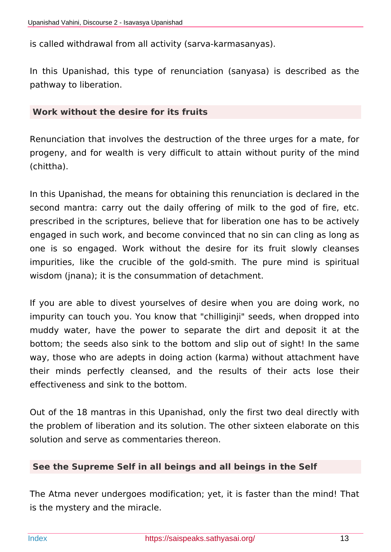is called withdrawal from all activity (sarva-karmasanyas).

In this Upanishad, this type of renunciation (sanyasa) is described as the pathway to liberation.

#### **Work without the desire for its fruits**

Renunciation that involves the destruction of the three urges for a mate, for progeny, and for wealth is very difficult to attain without purity of the mind (chittha).

In this Upanishad, the means for obtaining this renunciation is declared in the second mantra: carry out the daily offering of milk to the god of fire, etc. prescribed in the scriptures, believe that for liberation one has to be actively engaged in such work, and become convinced that no sin can cling as long as one is so engaged. Work without the desire for its fruit slowly cleanses impurities, like the crucible of the gold-smith. The pure mind is spiritual wisdom (jnana); it is the consummation of detachment.

If you are able to divest yourselves of desire when you are doing work, no impurity can touch you. You know that "chilliginji" seeds, when dropped into muddy water, have the power to separate the dirt and deposit it at the bottom; the seeds also sink to the bottom and slip out of sight! In the same way, those who are adepts in doing action (karma) without attachment have their minds perfectly cleansed, and the results of their acts lose their effectiveness and sink to the bottom.

Out of the 18 mantras in this Upanishad, only the first two deal directly with the problem of liberation and its solution. The other sixteen elaborate on this solution and serve as commentaries thereon.

### **See the Supreme Self in all beings and all beings in the Self**

The Atma never undergoes modification; yet, it is faster than the mind! That is the mystery and the miracle.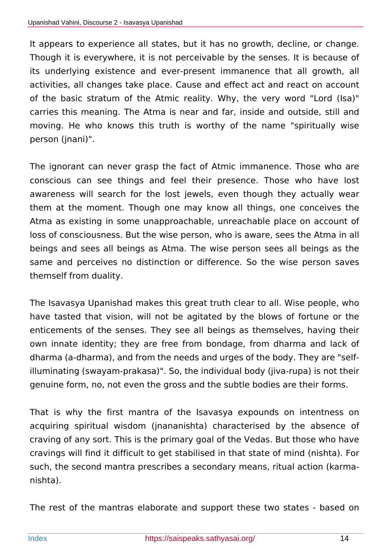It appears to experience all states, but it has no growth, decline, or change. Though it is everywhere, it is not perceivable by the senses. It is because of its underlying existence and ever-present immanence that all growth, all activities, all changes take place. Cause and effect act and react on account of the basic stratum of the Atmic reality. Why, the very word "Lord (Isa)" carries this meaning. The Atma is near and far, inside and outside, still and moving. He who knows this truth is worthy of the name "spiritually wise person (jnani)".

The ignorant can never grasp the fact of Atmic immanence. Those who are conscious can see things and feel their presence. Those who have lost awareness will search for the lost jewels, even though they actually wear them at the moment. Though one may know all things, one conceives the Atma as existing in some unapproachable, unreachable place on account of loss of consciousness. But the wise person, who is aware, sees the Atma in all beings and sees all beings as Atma. The wise person sees all beings as the same and perceives no distinction or difference. So the wise person saves themself from duality.

The Isavasya Upanishad makes this great truth clear to all. Wise people, who have tasted that vision, will not be agitated by the blows of fortune or the enticements of the senses. They see all beings as themselves, having their own innate identity; they are free from bondage, from dharma and lack of dharma (a-dharma), and from the needs and urges of the body. They are "selfilluminating (swayam-prakasa)". So, the individual body (jiva-rupa) is not their genuine form, no, not even the gross and the subtle bodies are their forms.

That is why the first mantra of the Isavasya expounds on intentness on acquiring spiritual wisdom (jnananishta) characterised by the absence of craving of any sort. This is the primary goal of the Vedas. But those who have cravings will find it difficult to get stabilised in that state of mind (nishta). For such, the second mantra prescribes a secondary means, ritual action (karmanishta).

The rest of the mantras elaborate and support these two states - based on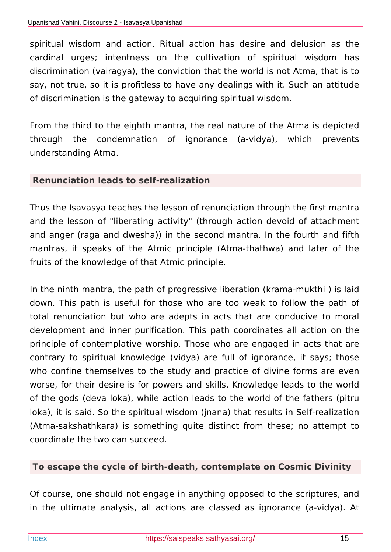spiritual wisdom and action. Ritual action has desire and delusion as the cardinal urges; intentness on the cultivation of spiritual wisdom has discrimination (vairagya), the conviction that the world is not Atma, that is to say, not true, so it is profitless to have any dealings with it. Such an attitude of discrimination is the gateway to acquiring spiritual wisdom.

From the third to the eighth mantra, the real nature of the Atma is depicted through the condemnation of ignorance (a-vidya), which prevents understanding Atma.

### **Renunciation leads to self-realization**

Thus the Isavasya teaches the lesson of renunciation through the first mantra and the lesson of "liberating activity" (through action devoid of attachment and anger (raga and dwesha)) in the second mantra. In the fourth and fifth mantras, it speaks of the Atmic principle (Atma-thathwa) and later of the fruits of the knowledge of that Atmic principle.

In the ninth mantra, the path of progressive liberation (krama-mukthi ) is laid down. This path is useful for those who are too weak to follow the path of total renunciation but who are adepts in acts that are conducive to moral development and inner purification. This path coordinates all action on the principle of contemplative worship. Those who are engaged in acts that are contrary to spiritual knowledge (vidya) are full of ignorance, it says; those who confine themselves to the study and practice of divine forms are even worse, for their desire is for powers and skills. Knowledge leads to the world of the gods (deva loka), while action leads to the world of the fathers (pitru loka), it is said. So the spiritual wisdom (jnana) that results in Self-realization (Atma-sakshathkara) is something quite distinct from these; no attempt to coordinate the two can succeed.

### **To escape the cycle of birth-death, contemplate on Cosmic Divinity**

Of course, one should not engage in anything opposed to the scriptures, and in the ultimate analysis, all actions are classed as ignorance (a-vidya). At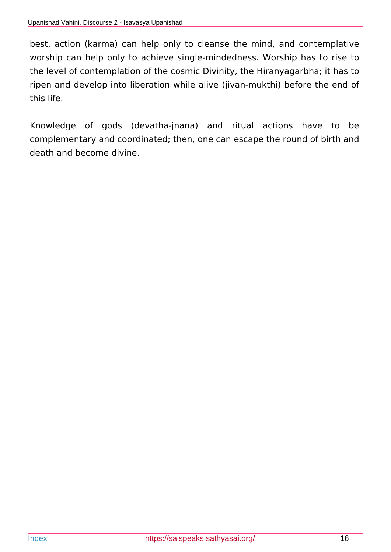best, action (karma) can help only to cleanse the mind, and contemplative worship can help only to achieve single-mindedness. Worship has to rise to the level of contemplation of the cosmic Divinity, the Hiranyagarbha; it has to ripen and develop into liberation while alive (jivan-mukthi) before the end of this life.

Knowledge of gods (devatha-jnana) and ritual actions have to be complementary and coordinated; then, one can escape the round of birth and death and become divine.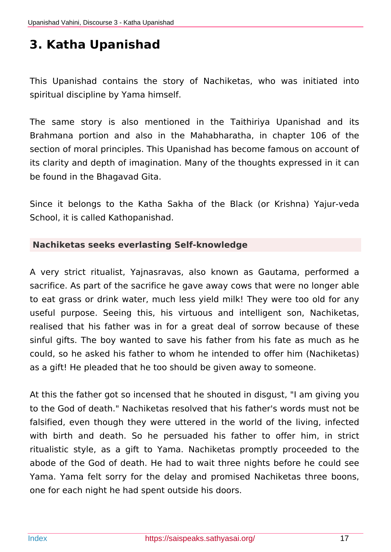# <span id="page-16-0"></span>**3. Katha Upanishad**

This Upanishad contains the story of Nachiketas, who was initiated into spiritual discipline by Yama himself.

The same story is also mentioned in the Taithiriya Upanishad and its Brahmana portion and also in the Mahabharatha, in chapter 106 of the section of moral principles. This Upanishad has become famous on account of its clarity and depth of imagination. Many of the thoughts expressed in it can be found in the Bhagavad Gita.

Since it belongs to the Katha Sakha of the Black (or Krishna) Yajur-veda School, it is called Kathopanishad.

### **Nachiketas seeks everlasting Self-knowledge**

A very strict ritualist, Yajnasravas, also known as Gautama, performed a sacrifice. As part of the sacrifice he gave away cows that were no longer able to eat grass or drink water, much less yield milk! They were too old for any useful purpose. Seeing this, his virtuous and intelligent son, Nachiketas, realised that his father was in for a great deal of sorrow because of these sinful gifts. The boy wanted to save his father from his fate as much as he could, so he asked his father to whom he intended to offer him (Nachiketas) as a gift! He pleaded that he too should be given away to someone.

At this the father got so incensed that he shouted in disgust, "I am giving you to the God of death." Nachiketas resolved that his father's words must not be falsified, even though they were uttered in the world of the living, infected with birth and death. So he persuaded his father to offer him, in strict ritualistic style, as a gift to Yama. Nachiketas promptly proceeded to the abode of the God of death. He had to wait three nights before he could see Yama. Yama felt sorry for the delay and promised Nachiketas three boons, one for each night he had spent outside his doors.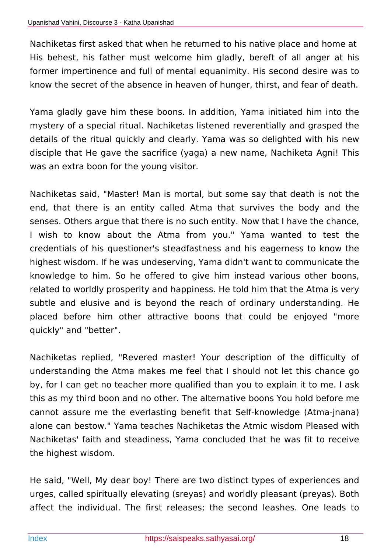Nachiketas first asked that when he returned to his native place and home at His behest, his father must welcome him gladly, bereft of all anger at his former impertinence and full of mental equanimity. His second desire was to know the secret of the absence in heaven of hunger, thirst, and fear of death.

Yama gladly gave him these boons. In addition, Yama initiated him into the mystery of a special ritual. Nachiketas listened reverentially and grasped the details of the ritual quickly and clearly. Yama was so delighted with his new disciple that He gave the sacrifice (yaga) a new name, Nachiketa Agni! This was an extra boon for the young visitor.

Nachiketas said, "Master! Man is mortal, but some say that death is not the end, that there is an entity called Atma that survives the body and the senses. Others argue that there is no such entity. Now that I have the chance, I wish to know about the Atma from you." Yama wanted to test the credentials of his questioner's steadfastness and his eagerness to know the highest wisdom. If he was undeserving, Yama didn't want to communicate the knowledge to him. So he offered to give him instead various other boons, related to worldly prosperity and happiness. He told him that the Atma is very subtle and elusive and is beyond the reach of ordinary understanding. He placed before him other attractive boons that could be enjoyed "more quickly" and "better".

Nachiketas replied, "Revered master! Your description of the difficulty of understanding the Atma makes me feel that I should not let this chance go by, for I can get no teacher more qualified than you to explain it to me. I ask this as my third boon and no other. The alternative boons You hold before me cannot assure me the everlasting benefit that Self-knowledge (Atma-jnana) alone can bestow." Yama teaches Nachiketas the Atmic wisdom Pleased with Nachiketas' faith and steadiness, Yama concluded that he was fit to receive the highest wisdom.

He said, "Well, My dear boy! There are two distinct types of experiences and urges, called spiritually elevating (sreyas) and worldly pleasant (preyas). Both affect the individual. The first releases; the second leashes. One leads to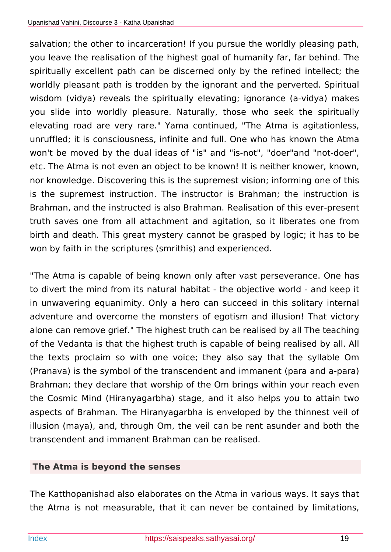salvation; the other to incarceration! If you pursue the worldly pleasing path, you leave the realisation of the highest goal of humanity far, far behind. The spiritually excellent path can be discerned only by the refined intellect; the worldly pleasant path is trodden by the ignorant and the perverted. Spiritual wisdom (vidya) reveals the spiritually elevating; ignorance (a-vidya) makes you slide into worldly pleasure. Naturally, those who seek the spiritually elevating road are very rare." Yama continued, "The Atma is agitationless, unruffled; it is consciousness, infinite and full. One who has known the Atma won't be moved by the dual ideas of "is" and "is-not", "doer"and "not-doer", etc. The Atma is not even an object to be known! It is neither knower, known, nor knowledge. Discovering this is the supremest vision; informing one of this is the supremest instruction. The instructor is Brahman; the instruction is Brahman, and the instructed is also Brahman. Realisation of this ever-present truth saves one from all attachment and agitation, so it liberates one from birth and death. This great mystery cannot be grasped by logic; it has to be won by faith in the scriptures (smrithis) and experienced.

"The Atma is capable of being known only after vast perseverance. One has to divert the mind from its natural habitat - the objective world - and keep it in unwavering equanimity. Only a hero can succeed in this solitary internal adventure and overcome the monsters of egotism and illusion! That victory alone can remove grief." The highest truth can be realised by all The teaching of the Vedanta is that the highest truth is capable of being realised by all. All the texts proclaim so with one voice; they also say that the syllable Om (Pranava) is the symbol of the transcendent and immanent (para and a-para) Brahman; they declare that worship of the Om brings within your reach even the Cosmic Mind (Hiranyagarbha) stage, and it also helps you to attain two aspects of Brahman. The Hiranyagarbha is enveloped by the thinnest veil of illusion (maya), and, through Om, the veil can be rent asunder and both the transcendent and immanent Brahman can be realised.

## **The Atma is beyond the senses**

The Katthopanishad also elaborates on the Atma in various ways. It says that the Atma is not measurable, that it can never be contained by limitations,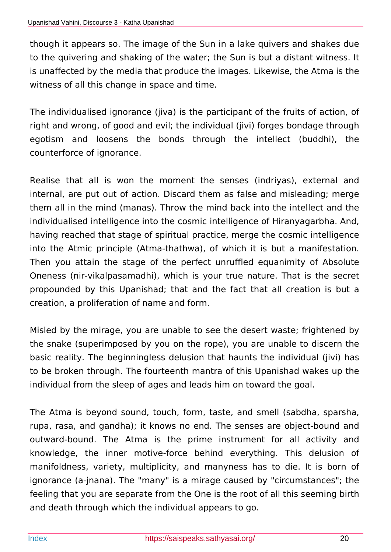though it appears so. The image of the Sun in a lake quivers and shakes due to the quivering and shaking of the water; the Sun is but a distant witness. It is unaffected by the media that produce the images. Likewise, the Atma is the witness of all this change in space and time.

The individualised ignorance (jiva) is the participant of the fruits of action, of right and wrong, of good and evil; the individual (jivi) forges bondage through egotism and loosens the bonds through the intellect (buddhi), the counterforce of ignorance.

Realise that all is won the moment the senses (indriyas), external and internal, are put out of action. Discard them as false and misleading; merge them all in the mind (manas). Throw the mind back into the intellect and the individualised intelligence into the cosmic intelligence of Hiranyagarbha. And, having reached that stage of spiritual practice, merge the cosmic intelligence into the Atmic principle (Atma-thathwa), of which it is but a manifestation. Then you attain the stage of the perfect unruffled equanimity of Absolute Oneness (nir-vikalpasamadhi), which is your true nature. That is the secret propounded by this Upanishad; that and the fact that all creation is but a creation, a proliferation of name and form.

Misled by the mirage, you are unable to see the desert waste; frightened by the snake (superimposed by you on the rope), you are unable to discern the basic reality. The beginningless delusion that haunts the individual (jivi) has to be broken through. The fourteenth mantra of this Upanishad wakes up the individual from the sleep of ages and leads him on toward the goal.

The Atma is beyond sound, touch, form, taste, and smell (sabdha, sparsha, rupa, rasa, and gandha); it knows no end. The senses are object-bound and outward-bound. The Atma is the prime instrument for all activity and knowledge, the inner motive-force behind everything. This delusion of manifoldness, variety, multiplicity, and manyness has to die. It is born of ignorance (a-jnana). The "many" is a mirage caused by "circumstances"; the feeling that you are separate from the One is the root of all this seeming birth and death through which the individual appears to go.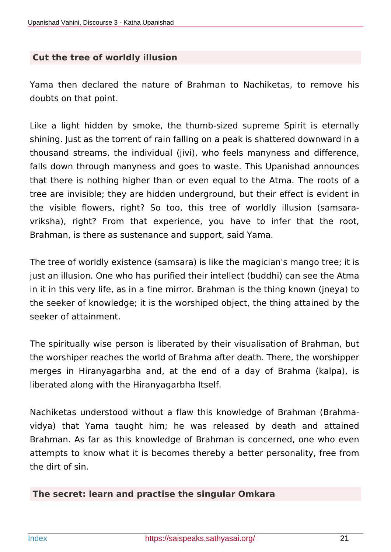#### **Cut the tree of worldly illusion**

Yama then declared the nature of Brahman to Nachiketas, to remove his doubts on that point.

Like a light hidden by smoke, the thumb-sized supreme Spirit is eternally shining. Just as the torrent of rain falling on a peak is shattered downward in a thousand streams, the individual (jivi), who feels manyness and difference, falls down through manyness and goes to waste. This Upanishad announces that there is nothing higher than or even equal to the Atma. The roots of a tree are invisible; they are hidden underground, but their effect is evident in the visible flowers, right? So too, this tree of worldly illusion (samsaravriksha), right? From that experience, you have to infer that the root, Brahman, is there as sustenance and support, said Yama.

The tree of worldly existence (samsara) is like the magician's mango tree; it is just an illusion. One who has purified their intellect (buddhi) can see the Atma in it in this very life, as in a fine mirror. Brahman is the thing known (jneya) to the seeker of knowledge; it is the worshiped object, the thing attained by the seeker of attainment.

The spiritually wise person is liberated by their visualisation of Brahman, but the worshiper reaches the world of Brahma after death. There, the worshipper merges in Hiranyagarbha and, at the end of a day of Brahma (kalpa), is liberated along with the Hiranyagarbha Itself.

Nachiketas understood without a flaw this knowledge of Brahman (Brahmavidya) that Yama taught him; he was released by death and attained Brahman. As far as this knowledge of Brahman is concerned, one who even attempts to know what it is becomes thereby a better personality, free from the dirt of sin.

#### **The secret: learn and practise the singular Omkara**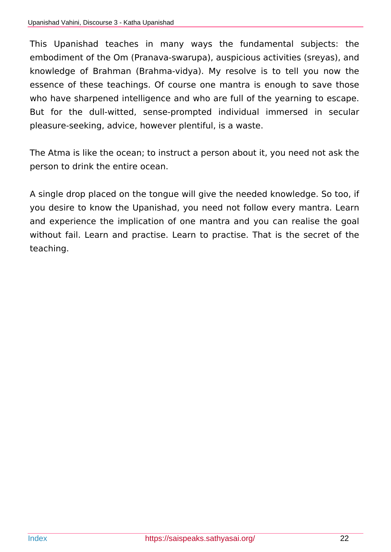This Upanishad teaches in many ways the fundamental subjects: the embodiment of the Om (Pranava-swarupa), auspicious activities (sreyas), and knowledge of Brahman (Brahma-vidya). My resolve is to tell you now the essence of these teachings. Of course one mantra is enough to save those who have sharpened intelligence and who are full of the yearning to escape. But for the dull-witted, sense-prompted individual immersed in secular pleasure-seeking, advice, however plentiful, is a waste.

The Atma is like the ocean; to instruct a person about it, you need not ask the person to drink the entire ocean.

A single drop placed on the tongue will give the needed knowledge. So too, if you desire to know the Upanishad, you need not follow every mantra. Learn and experience the implication of one mantra and you can realise the goal without fail. Learn and practise. Learn to practise. That is the secret of the teaching.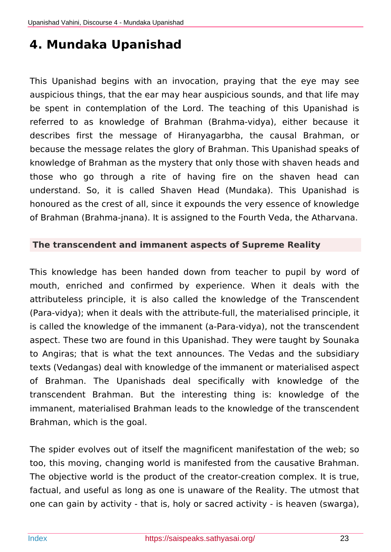# <span id="page-22-0"></span>**4. Mundaka Upanishad**

This Upanishad begins with an invocation, praying that the eye may see auspicious things, that the ear may hear auspicious sounds, and that life may be spent in contemplation of the Lord. The teaching of this Upanishad is referred to as knowledge of Brahman (Brahma-vidya), either because it describes first the message of Hiranyagarbha, the causal Brahman, or because the message relates the glory of Brahman. This Upanishad speaks of knowledge of Brahman as the mystery that only those with shaven heads and those who go through a rite of having fire on the shaven head can understand. So, it is called Shaven Head (Mundaka). This Upanishad is honoured as the crest of all, since it expounds the very essence of knowledge of Brahman (Brahma-jnana). It is assigned to the Fourth Veda, the Atharvana.

### **The transcendent and immanent aspects of Supreme Reality**

This knowledge has been handed down from teacher to pupil by word of mouth, enriched and confirmed by experience. When it deals with the attributeless principle, it is also called the knowledge of the Transcendent (Para-vidya); when it deals with the attribute-full, the materialised principle, it is called the knowledge of the immanent (a-Para-vidya), not the transcendent aspect. These two are found in this Upanishad. They were taught by Sounaka to Angiras; that is what the text announces. The Vedas and the subsidiary texts (Vedangas) deal with knowledge of the immanent or materialised aspect of Brahman. The Upanishads deal specifically with knowledge of the transcendent Brahman. But the interesting thing is: knowledge of the immanent, materialised Brahman leads to the knowledge of the transcendent Brahman, which is the goal.

The spider evolves out of itself the magnificent manifestation of the web; so too, this moving, changing world is manifested from the causative Brahman. The objective world is the product of the creator-creation complex. It is true, factual, and useful as long as one is unaware of the Reality. The utmost that one can gain by activity - that is, holy or sacred activity - is heaven (swarga),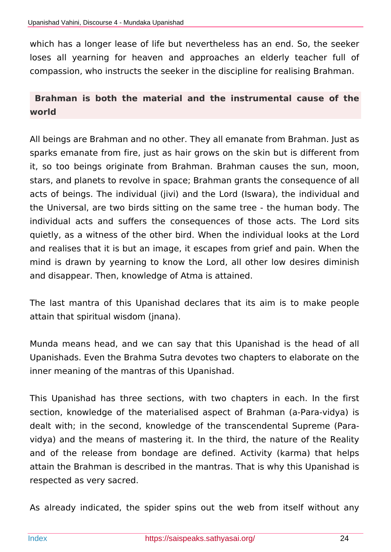which has a longer lease of life but nevertheless has an end. So, the seeker loses all yearning for heaven and approaches an elderly teacher full of compassion, who instructs the seeker in the discipline for realising Brahman.

## **Brahman is both the material and the instrumental cause of the world**

All beings are Brahman and no other. They all emanate from Brahman. Just as sparks emanate from fire, just as hair grows on the skin but is different from it, so too beings originate from Brahman. Brahman causes the sun, moon, stars, and planets to revolve in space; Brahman grants the consequence of all acts of beings. The individual (jivi) and the Lord (Iswara), the individual and the Universal, are two birds sitting on the same tree - the human body. The individual acts and suffers the consequences of those acts. The Lord sits quietly, as a witness of the other bird. When the individual looks at the Lord and realises that it is but an image, it escapes from grief and pain. When the mind is drawn by yearning to know the Lord, all other low desires diminish and disappear. Then, knowledge of Atma is attained.

The last mantra of this Upanishad declares that its aim is to make people attain that spiritual wisdom (jnana).

Munda means head, and we can say that this Upanishad is the head of all Upanishads. Even the Brahma Sutra devotes two chapters to elaborate on the inner meaning of the mantras of this Upanishad.

This Upanishad has three sections, with two chapters in each. In the first section, knowledge of the materialised aspect of Brahman (a-Para-vidya) is dealt with; in the second, knowledge of the transcendental Supreme (Paravidya) and the means of mastering it. In the third, the nature of the Reality and of the release from bondage are defined. Activity (karma) that helps attain the Brahman is described in the mantras. That is why this Upanishad is respected as very sacred.

As already indicated, the spider spins out the web from itself without any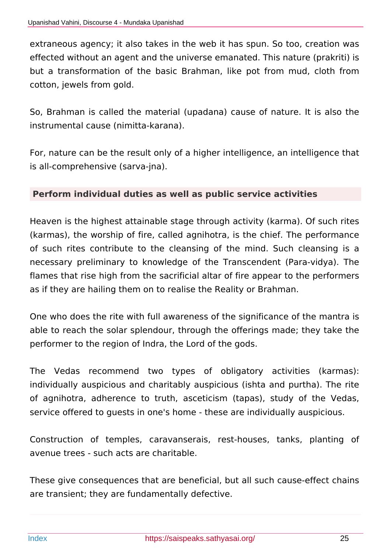extraneous agency; it also takes in the web it has spun. So too, creation was effected without an agent and the universe emanated. This nature (prakriti) is but a transformation of the basic Brahman, like pot from mud, cloth from cotton, jewels from gold.

So, Brahman is called the material (upadana) cause of nature. It is also the instrumental cause (nimitta-karana).

For, nature can be the result only of a higher intelligence, an intelligence that is all-comprehensive (sarva-jna).

### **Perform individual duties as well as public service activities**

Heaven is the highest attainable stage through activity (karma). Of such rites (karmas), the worship of fire, called agnihotra, is the chief. The performance of such rites contribute to the cleansing of the mind. Such cleansing is a necessary preliminary to knowledge of the Transcendent (Para-vidya). The flames that rise high from the sacrificial altar of fire appear to the performers as if they are hailing them on to realise the Reality or Brahman.

One who does the rite with full awareness of the significance of the mantra is able to reach the solar splendour, through the offerings made; they take the performer to the region of Indra, the Lord of the gods.

The Vedas recommend two types of obligatory activities (karmas): individually auspicious and charitably auspicious (ishta and purtha). The rite of agnihotra, adherence to truth, asceticism (tapas), study of the Vedas, service offered to guests in one's home - these are individually auspicious.

Construction of temples, caravanserais, rest-houses, tanks, planting of avenue trees - such acts are charitable.

These give consequences that are beneficial, but all such cause-effect chains are transient; they are fundamentally defective.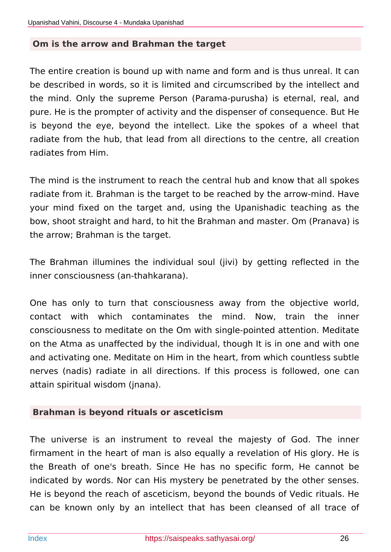#### **Om is the arrow and Brahman the target**

The entire creation is bound up with name and form and is thus unreal. It can be described in words, so it is limited and circumscribed by the intellect and the mind. Only the supreme Person (Parama-purusha) is eternal, real, and pure. He is the prompter of activity and the dispenser of consequence. But He is beyond the eye, beyond the intellect. Like the spokes of a wheel that radiate from the hub, that lead from all directions to the centre, all creation radiates from Him.

The mind is the instrument to reach the central hub and know that all spokes radiate from it. Brahman is the target to be reached by the arrow-mind. Have your mind fixed on the target and, using the Upanishadic teaching as the bow, shoot straight and hard, to hit the Brahman and master. Om (Pranava) is the arrow; Brahman is the target.

The Brahman illumines the individual soul (jivi) by getting reflected in the inner consciousness (an-thahkarana).

One has only to turn that consciousness away from the objective world, contact with which contaminates the mind. Now, train the inner consciousness to meditate on the Om with single-pointed attention. Meditate on the Atma as unaffected by the individual, though It is in one and with one and activating one. Meditate on Him in the heart, from which countless subtle nerves (nadis) radiate in all directions. If this process is followed, one can attain spiritual wisdom (jnana).

#### **Brahman is beyond rituals or asceticism**

The universe is an instrument to reveal the majesty of God. The inner firmament in the heart of man is also equally a revelation of His glory. He is the Breath of one's breath. Since He has no specific form, He cannot be indicated by words. Nor can His mystery be penetrated by the other senses. He is beyond the reach of asceticism, beyond the bounds of Vedic rituals. He can be known only by an intellect that has been cleansed of all trace of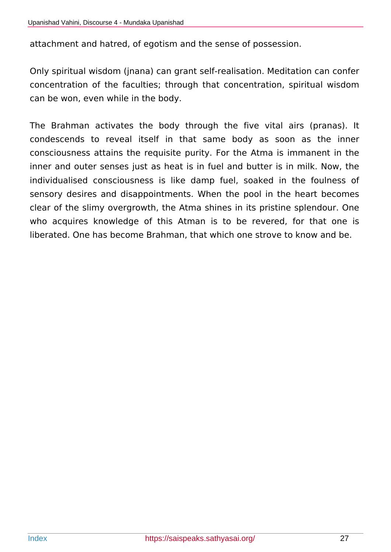attachment and hatred, of egotism and the sense of possession.

Only spiritual wisdom (jnana) can grant self-realisation. Meditation can confer concentration of the faculties; through that concentration, spiritual wisdom can be won, even while in the body.

The Brahman activates the body through the five vital airs (pranas). It condescends to reveal itself in that same body as soon as the inner consciousness attains the requisite purity. For the Atma is immanent in the inner and outer senses just as heat is in fuel and butter is in milk. Now, the individualised consciousness is like damp fuel, soaked in the foulness of sensory desires and disappointments. When the pool in the heart becomes clear of the slimy overgrowth, the Atma shines in its pristine splendour. One who acquires knowledge of this Atman is to be revered, for that one is liberated. One has become Brahman, that which one strove to know and be.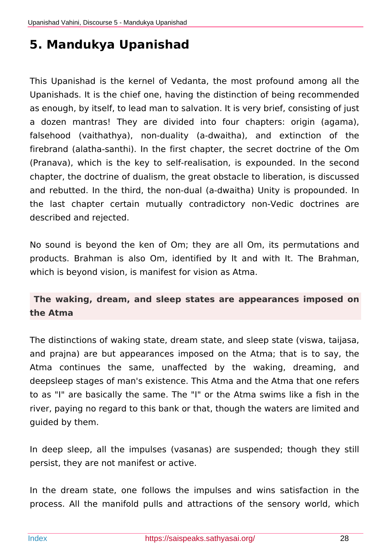# <span id="page-27-0"></span>**5. Mandukya Upanishad**

This Upanishad is the kernel of Vedanta, the most profound among all the Upanishads. It is the chief one, having the distinction of being recommended as enough, by itself, to lead man to salvation. It is very brief, consisting of just a dozen mantras! They are divided into four chapters: origin (agama), falsehood (vaithathya), non-duality (a-dwaitha), and extinction of the firebrand (alatha-santhi). In the first chapter, the secret doctrine of the Om (Pranava), which is the key to self-realisation, is expounded. In the second chapter, the doctrine of dualism, the great obstacle to liberation, is discussed and rebutted. In the third, the non-dual (a-dwaitha) Unity is propounded. In the last chapter certain mutually contradictory non-Vedic doctrines are described and rejected.

No sound is beyond the ken of Om; they are all Om, its permutations and products. Brahman is also Om, identified by It and with It. The Brahman, which is beyond vision, is manifest for vision as Atma.

## **The waking, dream, and sleep states are appearances imposed on the Atma**

The distinctions of waking state, dream state, and sleep state (viswa, taijasa, and prajna) are but appearances imposed on the Atma; that is to say, the Atma continues the same, unaffected by the waking, dreaming, and deepsleep stages of man's existence. This Atma and the Atma that one refers to as "I" are basically the same. The "I" or the Atma swims like a fish in the river, paying no regard to this bank or that, though the waters are limited and guided by them.

In deep sleep, all the impulses (vasanas) are suspended; though they still persist, they are not manifest or active.

In the dream state, one follows the impulses and wins satisfaction in the process. All the manifold pulls and attractions of the sensory world, which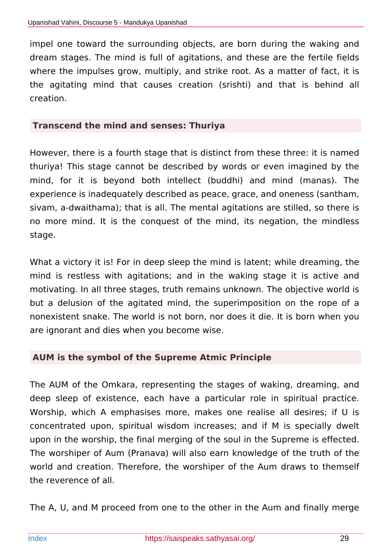impel one toward the surrounding objects, are born during the waking and dream stages. The mind is full of agitations, and these are the fertile fields where the impulses grow, multiply, and strike root. As a matter of fact, it is the agitating mind that causes creation (srishti) and that is behind all creation.

#### **Transcend the mind and senses: Thuriya**

However, there is a fourth stage that is distinct from these three: it is named thuriya! This stage cannot be described by words or even imagined by the mind, for it is beyond both intellect (buddhi) and mind (manas). The experience is inadequately described as peace, grace, and oneness (santham, sivam, a-dwaithama); that is all. The mental agitations are stilled, so there is no more mind. It is the conquest of the mind, its negation, the mindless stage.

What a victory it is! For in deep sleep the mind is latent: while dreaming, the mind is restless with agitations; and in the waking stage it is active and motivating. In all three stages, truth remains unknown. The objective world is but a delusion of the agitated mind, the superimposition on the rope of a nonexistent snake. The world is not born, nor does it die. It is born when you are ignorant and dies when you become wise.

### **AUM is the symbol of the Supreme Atmic Principle**

The AUM of the Omkara, representing the stages of waking, dreaming, and deep sleep of existence, each have a particular role in spiritual practice. Worship, which A emphasises more, makes one realise all desires; if U is concentrated upon, spiritual wisdom increases; and if M is specially dwelt upon in the worship, the final merging of the soul in the Supreme is effected. The worshiper of Aum (Pranava) will also earn knowledge of the truth of the world and creation. Therefore, the worshiper of the Aum draws to themself the reverence of all.

The A, U, and M proceed from one to the other in the Aum and finally merge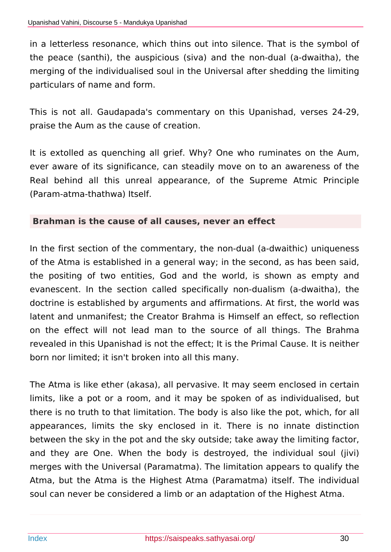in a letterless resonance, which thins out into silence. That is the symbol of the peace (santhi), the auspicious (siva) and the non-dual (a-dwaitha), the merging of the individualised soul in the Universal after shedding the limiting particulars of name and form.

This is not all. Gaudapada's commentary on this Upanishad, verses 24-29, praise the Aum as the cause of creation.

It is extolled as quenching all grief. Why? One who ruminates on the Aum, ever aware of its significance, can steadily move on to an awareness of the Real behind all this unreal appearance, of the Supreme Atmic Principle (Param-atma-thathwa) Itself.

#### **Brahman is the cause of all causes, never an effect**

In the first section of the commentary, the non-dual (a-dwaithic) uniqueness of the Atma is established in a general way; in the second, as has been said, the positing of two entities, God and the world, is shown as empty and evanescent. In the section called specifically non-dualism (a-dwaitha), the doctrine is established by arguments and affirmations. At first, the world was latent and unmanifest; the Creator Brahma is Himself an effect, so reflection on the effect will not lead man to the source of all things. The Brahma revealed in this Upanishad is not the effect; It is the Primal Cause. It is neither born nor limited; it isn't broken into all this many.

The Atma is like ether (akasa), all pervasive. It may seem enclosed in certain limits, like a pot or a room, and it may be spoken of as individualised, but there is no truth to that limitation. The body is also like the pot, which, for all appearances, limits the sky enclosed in it. There is no innate distinction between the sky in the pot and the sky outside; take away the limiting factor, and they are One. When the body is destroyed, the individual soul (jivi) merges with the Universal (Paramatma). The limitation appears to qualify the Atma, but the Atma is the Highest Atma (Paramatma) itself. The individual soul can never be considered a limb or an adaptation of the Highest Atma.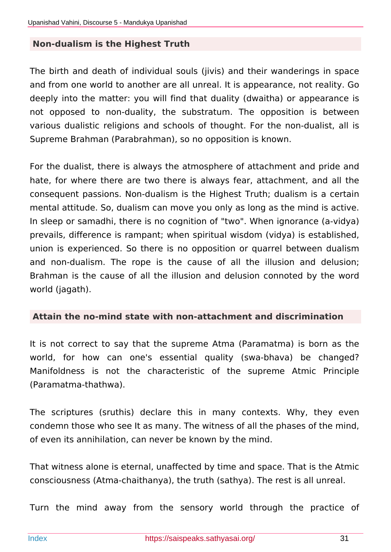#### **Non-dualism is the Highest Truth**

The birth and death of individual souls (jivis) and their wanderings in space and from one world to another are all unreal. It is appearance, not reality. Go deeply into the matter: you will find that duality (dwaitha) or appearance is not opposed to non-duality, the substratum. The opposition is between various dualistic religions and schools of thought. For the non-dualist, all is Supreme Brahman (Parabrahman), so no opposition is known.

For the dualist, there is always the atmosphere of attachment and pride and hate, for where there are two there is always fear, attachment, and all the consequent passions. Non-dualism is the Highest Truth; dualism is a certain mental attitude. So, dualism can move you only as long as the mind is active. In sleep or samadhi, there is no cognition of "two". When ignorance (a-vidya) prevails, difference is rampant; when spiritual wisdom (vidya) is established, union is experienced. So there is no opposition or quarrel between dualism and non-dualism. The rope is the cause of all the illusion and delusion; Brahman is the cause of all the illusion and delusion connoted by the word world (jagath).

#### **Attain the no-mind state with non-attachment and discrimination**

It is not correct to say that the supreme Atma (Paramatma) is born as the world, for how can one's essential quality (swa-bhava) be changed? Manifoldness is not the characteristic of the supreme Atmic Principle (Paramatma-thathwa).

The scriptures (sruthis) declare this in many contexts. Why, they even condemn those who see It as many. The witness of all the phases of the mind, of even its annihilation, can never be known by the mind.

That witness alone is eternal, unaffected by time and space. That is the Atmic consciousness (Atma-chaithanya), the truth (sathya). The rest is all unreal.

Turn the mind away from the sensory world through the practice of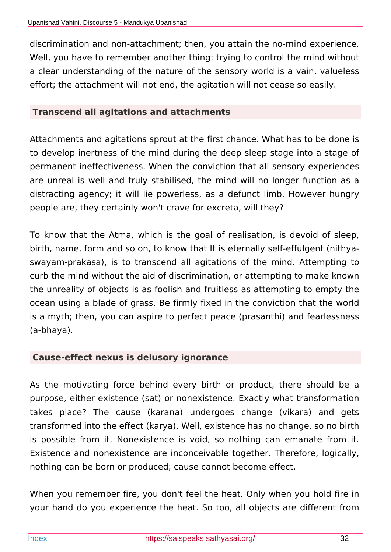discrimination and non-attachment; then, you attain the no-mind experience. Well, you have to remember another thing: trying to control the mind without a clear understanding of the nature of the sensory world is a vain, valueless effort; the attachment will not end, the agitation will not cease so easily.

### **Transcend all agitations and attachments**

Attachments and agitations sprout at the first chance. What has to be done is to develop inertness of the mind during the deep sleep stage into a stage of permanent ineffectiveness. When the conviction that all sensory experiences are unreal is well and truly stabilised, the mind will no longer function as a distracting agency; it will lie powerless, as a defunct limb. However hungry people are, they certainly won't crave for excreta, will they?

To know that the Atma, which is the goal of realisation, is devoid of sleep, birth, name, form and so on, to know that It is eternally self-effulgent (nithyaswayam-prakasa), is to transcend all agitations of the mind. Attempting to curb the mind without the aid of discrimination, or attempting to make known the unreality of objects is as foolish and fruitless as attempting to empty the ocean using a blade of grass. Be firmly fixed in the conviction that the world is a myth; then, you can aspire to perfect peace (prasanthi) and fearlessness (a-bhaya).

### **Cause-effect nexus is delusory ignorance**

As the motivating force behind every birth or product, there should be a purpose, either existence (sat) or nonexistence. Exactly what transformation takes place? The cause (karana) undergoes change (vikara) and gets transformed into the effect (karya). Well, existence has no change, so no birth is possible from it. Nonexistence is void, so nothing can emanate from it. Existence and nonexistence are inconceivable together. Therefore, logically, nothing can be born or produced; cause cannot become effect.

When you remember fire, you don't feel the heat. Only when you hold fire in your hand do you experience the heat. So too, all objects are different from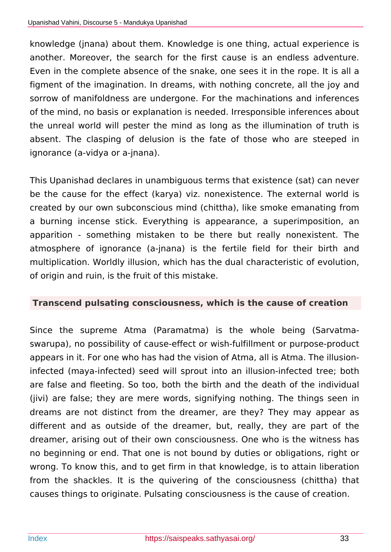knowledge (jnana) about them. Knowledge is one thing, actual experience is another. Moreover, the search for the first cause is an endless adventure. Even in the complete absence of the snake, one sees it in the rope. It is all a figment of the imagination. In dreams, with nothing concrete, all the joy and sorrow of manifoldness are undergone. For the machinations and inferences of the mind, no basis or explanation is needed. Irresponsible inferences about the unreal world will pester the mind as long as the illumination of truth is absent. The clasping of delusion is the fate of those who are steeped in ignorance (a-vidya or a-jnana).

This Upanishad declares in unambiguous terms that existence (sat) can never be the cause for the effect (karya) viz. nonexistence. The external world is created by our own subconscious mind (chittha), like smoke emanating from a burning incense stick. Everything is appearance, a superimposition, an apparition - something mistaken to be there but really nonexistent. The atmosphere of ignorance (a-jnana) is the fertile field for their birth and multiplication. Worldly illusion, which has the dual characteristic of evolution, of origin and ruin, is the fruit of this mistake.

## **Transcend pulsating consciousness, which is the cause of creation**

Since the supreme Atma (Paramatma) is the whole being (Sarvatmaswarupa), no possibility of cause-effect or wish-fulfillment or purpose-product appears in it. For one who has had the vision of Atma, all is Atma. The illusioninfected (maya-infected) seed will sprout into an illusion-infected tree; both are false and fleeting. So too, both the birth and the death of the individual (jivi) are false; they are mere words, signifying nothing. The things seen in dreams are not distinct from the dreamer, are they? They may appear as different and as outside of the dreamer, but, really, they are part of the dreamer, arising out of their own consciousness. One who is the witness has no beginning or end. That one is not bound by duties or obligations, right or wrong. To know this, and to get firm in that knowledge, is to attain liberation from the shackles. It is the quivering of the consciousness (chittha) that causes things to originate. Pulsating consciousness is the cause of creation.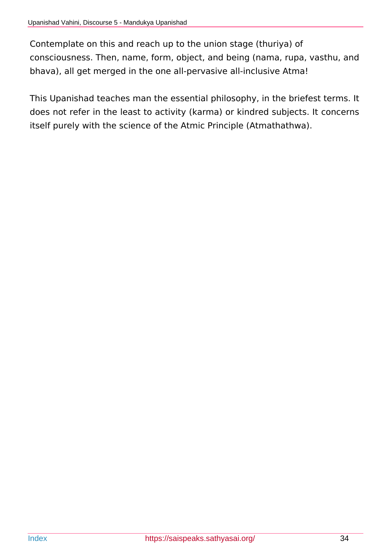Contemplate on this and reach up to the union stage (thuriya) of consciousness. Then, name, form, object, and being (nama, rupa, vasthu, and bhava), all get merged in the one all-pervasive all-inclusive Atma!

This Upanishad teaches man the essential philosophy, in the briefest terms. It does not refer in the least to activity (karma) or kindred subjects. It concerns itself purely with the science of the Atmic Principle (Atmathathwa).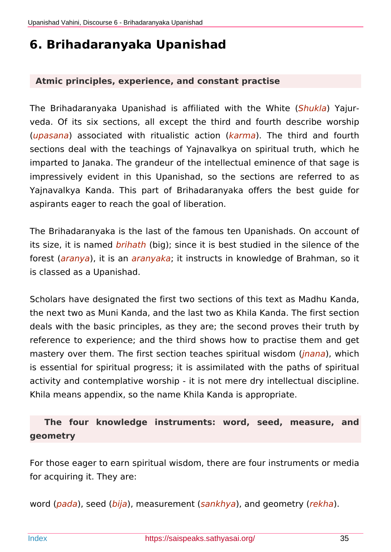# <span id="page-34-0"></span>**6. Brihadaranyaka Upanishad**

#### **Atmic principles, experience, and constant practise**

The Brihadaranyaka Upanishad is affiliated with the White (*Shukla*) Yajurveda. Of its six sections, all except the third and fourth describe worship (*upasana*) associated with ritualistic action (*karma*). The third and fourth sections deal with the teachings of Yajnavalkya on spiritual truth, which he imparted to Janaka. The grandeur of the intellectual eminence of that sage is impressively evident in this Upanishad, so the sections are referred to as Yajnavalkya Kanda. This part of Brihadaranyaka offers the best guide for aspirants eager to reach the goal of liberation.

The Brihadaranyaka is the last of the famous ten Upanishads. On account of its size, it is named *brihath* (big); since it is best studied in the silence of the forest (*aranya*), it is an *aranyaka*; it instructs in knowledge of Brahman, so it is classed as a Upanishad.

Scholars have designated the first two sections of this text as Madhu Kanda, the next two as Muni Kanda, and the last two as Khila Kanda. The first section deals with the basic principles, as they are; the second proves their truth by reference to experience; and the third shows how to practise them and get mastery over them. The first section teaches spiritual wisdom (*jnana*), which is essential for spiritual progress; it is assimilated with the paths of spiritual activity and contemplative worship - it is not mere dry intellectual discipline. Khila means appendix, so the name Khila Kanda is appropriate.

## **The four knowledge instruments: word, seed, measure, and geometry**

For those eager to earn spiritual wisdom, there are four instruments or media for acquiring it. They are:

word (*pada*), seed (*bija*), measurement (*sankhya*), and geometry (*rekha*).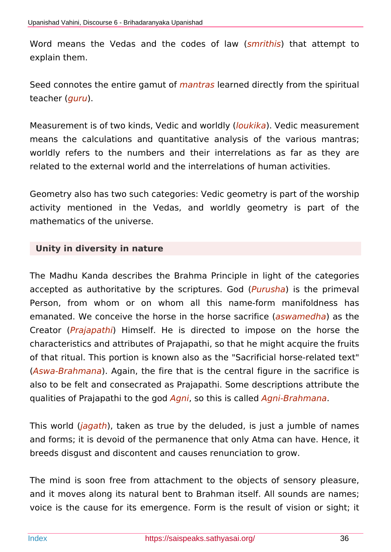Word means the Vedas and the codes of law (*smrithis*) that attempt to explain them.

Seed connotes the entire gamut of *mantras* learned directly from the spiritual teacher (*guru*).

Measurement is of two kinds, Vedic and worldly (*loukika*). Vedic measurement means the calculations and quantitative analysis of the various mantras; worldly refers to the numbers and their interrelations as far as they are related to the external world and the interrelations of human activities.

Geometry also has two such categories: Vedic geometry is part of the worship activity mentioned in the Vedas, and worldly geometry is part of the mathematics of the universe.

### **Unity in diversity in nature**

The Madhu Kanda describes the Brahma Principle in light of the categories accepted as authoritative by the scriptures. God (*Purusha*) is the primeval Person, from whom or on whom all this name-form manifoldness has emanated. We conceive the horse in the horse sacrifice (*aswamedha*) as the Creator (*Prajapathi*) Himself. He is directed to impose on the horse the characteristics and attributes of Prajapathi, so that he might acquire the fruits of that ritual. This portion is known also as the "Sacrificial horse-related text" (*Aswa-Brahmana*). Again, the fire that is the central figure in the sacrifice is also to be felt and consecrated as Prajapathi. Some descriptions attribute the qualities of Prajapathi to the god *Agni*, so this is called *Agni-Brahmana*.

This world (*jagath*), taken as true by the deluded, is just a jumble of names and forms; it is devoid of the permanence that only Atma can have. Hence, it breeds disgust and discontent and causes renunciation to grow.

The mind is soon free from attachment to the objects of sensory pleasure, and it moves along its natural bent to Brahman itself. All sounds are names; voice is the cause for its emergence. Form is the result of vision or sight; it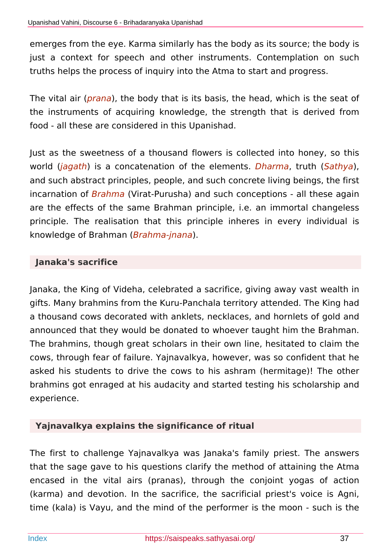emerges from the eye. Karma similarly has the body as its source; the body is just a context for speech and other instruments. Contemplation on such truths helps the process of inquiry into the Atma to start and progress.

The vital air (*prana*), the body that is its basis, the head, which is the seat of the instruments of acquiring knowledge, the strength that is derived from food - all these are considered in this Upanishad.

Just as the sweetness of a thousand flowers is collected into honey, so this world (*jagath*) is a concatenation of the elements. *Dharma*, truth (*Sathya*), and such abstract principles, people, and such concrete living beings, the first incarnation of *Brahma* (Virat-Purusha) and such conceptions - all these again are the effects of the same Brahman principle, i.e. an immortal changeless principle. The realisation that this principle inheres in every individual is knowledge of Brahman (*Brahma-jnana*).

### **Janaka's sacrifice**

Janaka, the King of Videha, celebrated a sacrifice, giving away vast wealth in gifts. Many brahmins from the Kuru-Panchala territory attended. The King had a thousand cows decorated with anklets, necklaces, and hornlets of gold and announced that they would be donated to whoever taught him the Brahman. The brahmins, though great scholars in their own line, hesitated to claim the cows, through fear of failure. Yajnavalkya, however, was so confident that he asked his students to drive the cows to his ashram (hermitage)! The other brahmins got enraged at his audacity and started testing his scholarship and experience.

## **Yajnavalkya explains the significance of ritual**

The first to challenge Yajnavalkya was Janaka's family priest. The answers that the sage gave to his questions clarify the method of attaining the Atma encased in the vital airs (pranas), through the conjoint yogas of action (karma) and devotion. In the sacrifice, the sacrificial priest's voice is Agni, time (kala) is Vayu, and the mind of the performer is the moon - such is the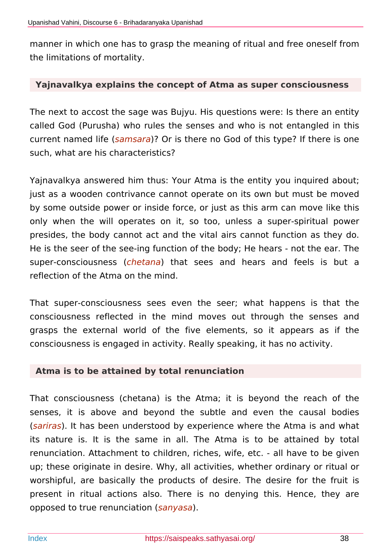manner in which one has to grasp the meaning of ritual and free oneself from the limitations of mortality.

#### **Yajnavalkya explains the concept of Atma as super consciousness**

The next to accost the sage was Bujyu. His questions were: Is there an entity called God (Purusha) who rules the senses and who is not entangled in this current named life (*samsara*)? Or is there no God of this type? If there is one such, what are his characteristics?

Yajnavalkya answered him thus: Your Atma is the entity you inquired about; just as a wooden contrivance cannot operate on its own but must be moved by some outside power or inside force, or just as this arm can move like this only when the will operates on it, so too, unless a super-spiritual power presides, the body cannot act and the vital airs cannot function as they do. He is the seer of the see-ing function of the body; He hears - not the ear. The super-consciousness (*chetana*) that sees and hears and feels is but a reflection of the Atma on the mind.

That super-consciousness sees even the seer; what happens is that the consciousness reflected in the mind moves out through the senses and grasps the external world of the five elements, so it appears as if the consciousness is engaged in activity. Really speaking, it has no activity.

#### **Atma is to be attained by total renunciation**

That consciousness (chetana) is the Atma; it is beyond the reach of the senses, it is above and beyond the subtle and even the causal bodies (*sariras*). It has been understood by experience where the Atma is and what its nature is. It is the same in all. The Atma is to be attained by total renunciation. Attachment to children, riches, wife, etc. - all have to be given up; these originate in desire. Why, all activities, whether ordinary or ritual or worshipful, are basically the products of desire. The desire for the fruit is present in ritual actions also. There is no denying this. Hence, they are opposed to true renunciation (*sanyasa*).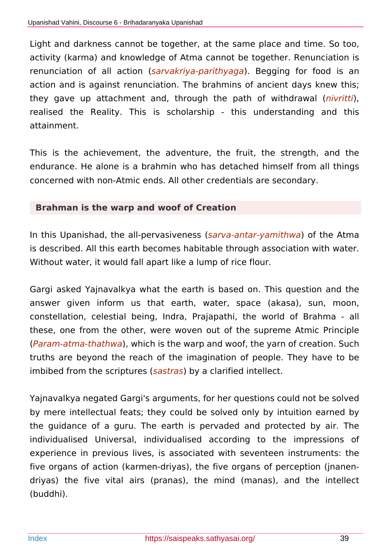Light and darkness cannot be together, at the same place and time. So too, activity (karma) and knowledge of Atma cannot be together. Renunciation is renunciation of all action (*sarvakriya-parithyaga*). Begging for food is an action and is against renunciation. The brahmins of ancient days knew this; they gave up attachment and, through the path of withdrawal (*nivritti*), realised the Reality. This is scholarship - this understanding and this attainment.

This is the achievement, the adventure, the fruit, the strength, and the endurance. He alone is a brahmin who has detached himself from all things concerned with non-Atmic ends. All other credentials are secondary.

#### **Brahman is the warp and woof of Creation**

In this Upanishad, the all-pervasiveness (*sarva-antar-yamithwa*) of the Atma is described. All this earth becomes habitable through association with water. Without water, it would fall apart like a lump of rice flour.

Gargi asked Yajnavalkya what the earth is based on. This question and the answer given inform us that earth, water, space (akasa), sun, moon, constellation, celestial being, Indra, Prajapathi, the world of Brahma - all these, one from the other, were woven out of the supreme Atmic Principle (*Param-atma-thathwa*), which is the warp and woof, the yarn of creation. Such truths are beyond the reach of the imagination of people. They have to be imbibed from the scriptures (*sastras*) by a clarified intellect.

Yajnavalkya negated Gargi's arguments, for her questions could not be solved by mere intellectual feats; they could be solved only by intuition earned by the guidance of a guru. The earth is pervaded and protected by air. The individualised Universal, individualised according to the impressions of experience in previous lives, is associated with seventeen instruments: the five organs of action (karmen-driyas), the five organs of perception (jnanendriyas) the five vital airs (pranas), the mind (manas), and the intellect (buddhi).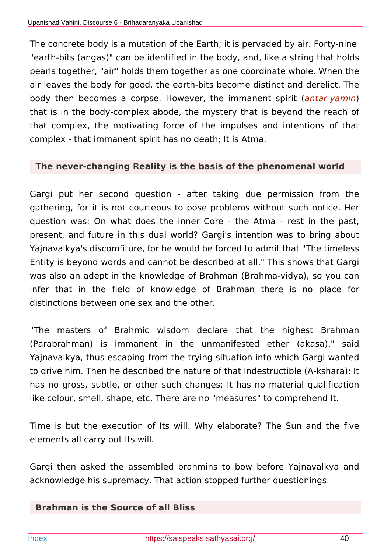The concrete body is a mutation of the Earth; it is pervaded by air. Forty-nine "earth-bits (angas)" can be identified in the body, and, like a string that holds pearls together, "air" holds them together as one coordinate whole. When the air leaves the body for good, the earth-bits become distinct and derelict. The body then becomes a corpse. However, the immanent spirit (*antar-yamin*) that is in the body-complex abode, the mystery that is beyond the reach of that complex, the motivating force of the impulses and intentions of that complex - that immanent spirit has no death; It is Atma.

#### **The never-changing Reality is the basis of the phenomenal world**

Gargi put her second question - after taking due permission from the gathering, for it is not courteous to pose problems without such notice. Her question was: On what does the inner Core - the Atma - rest in the past, present, and future in this dual world? Gargi's intention was to bring about Yajnavalkya's discomfiture, for he would be forced to admit that "The timeless Entity is beyond words and cannot be described at all." This shows that Gargi was also an adept in the knowledge of Brahman (Brahma-vidya), so you can infer that in the field of knowledge of Brahman there is no place for distinctions between one sex and the other.

"The masters of Brahmic wisdom declare that the highest Brahman (Parabrahman) is immanent in the unmanifested ether (akasa)," said Yajnavalkya, thus escaping from the trying situation into which Gargi wanted to drive him. Then he described the nature of that Indestructible (A-kshara): It has no gross, subtle, or other such changes; It has no material qualification like colour, smell, shape, etc. There are no "measures" to comprehend It.

Time is but the execution of Its will. Why elaborate? The Sun and the five elements all carry out Its will.

Gargi then asked the assembled brahmins to bow before Yajnavalkya and acknowledge his supremacy. That action stopped further questionings.

#### **Brahman is the Source of all Bliss**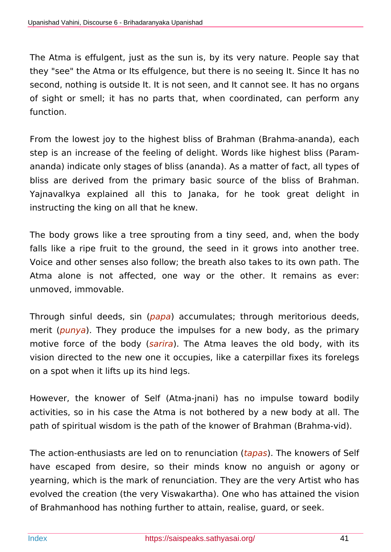The Atma is effulgent, just as the sun is, by its very nature. People say that they "see" the Atma or Its effulgence, but there is no seeing It. Since It has no second, nothing is outside It. It is not seen, and It cannot see. It has no organs of sight or smell; it has no parts that, when coordinated, can perform any function.

From the lowest joy to the highest bliss of Brahman (Brahma-ananda), each step is an increase of the feeling of delight. Words like highest bliss (Paramananda) indicate only stages of bliss (ananda). As a matter of fact, all types of bliss are derived from the primary basic source of the bliss of Brahman. Yajnavalkya explained all this to Janaka, for he took great delight in instructing the king on all that he knew.

The body grows like a tree sprouting from a tiny seed, and, when the body falls like a ripe fruit to the ground, the seed in it grows into another tree. Voice and other senses also follow; the breath also takes to its own path. The Atma alone is not affected, one way or the other. It remains as ever: unmoved, immovable.

Through sinful deeds, sin (*papa*) accumulates; through meritorious deeds, merit (*punya*). They produce the impulses for a new body, as the primary motive force of the body (*sarira*). The Atma leaves the old body, with its vision directed to the new one it occupies, like a caterpillar fixes its forelegs on a spot when it lifts up its hind legs.

However, the knower of Self (Atma-jnani) has no impulse toward bodily activities, so in his case the Atma is not bothered by a new body at all. The path of spiritual wisdom is the path of the knower of Brahman (Brahma-vid).

The action-enthusiasts are led on to renunciation (*tapas*). The knowers of Self have escaped from desire, so their minds know no anguish or agony or yearning, which is the mark of renunciation. They are the very Artist who has evolved the creation (the very Viswakartha). One who has attained the vision of Brahmanhood has nothing further to attain, realise, guard, or seek.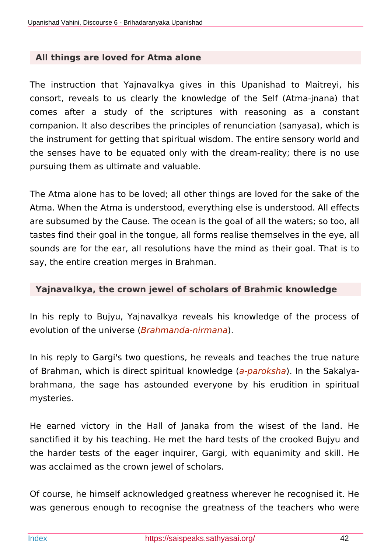#### **All things are loved for Atma alone**

The instruction that Yajnavalkya gives in this Upanishad to Maitreyi, his consort, reveals to us clearly the knowledge of the Self (Atma-jnana) that comes after a study of the scriptures with reasoning as a constant companion. It also describes the principles of renunciation (sanyasa), which is the instrument for getting that spiritual wisdom. The entire sensory world and the senses have to be equated only with the dream-reality; there is no use pursuing them as ultimate and valuable.

The Atma alone has to be loved; all other things are loved for the sake of the Atma. When the Atma is understood, everything else is understood. All effects are subsumed by the Cause. The ocean is the goal of all the waters; so too, all tastes find their goal in the tongue, all forms realise themselves in the eye, all sounds are for the ear, all resolutions have the mind as their goal. That is to say, the entire creation merges in Brahman.

#### **Yajnavalkya, the crown jewel of scholars of Brahmic knowledge**

In his reply to Bujyu, Yajnavalkya reveals his knowledge of the process of evolution of the universe (*Brahmanda-nirmana*).

In his reply to Gargi's two questions, he reveals and teaches the true nature of Brahman, which is direct spiritual knowledge (*a-paroksha*). In the Sakalyabrahmana, the sage has astounded everyone by his erudition in spiritual mysteries.

He earned victory in the Hall of Janaka from the wisest of the land. He sanctified it by his teaching. He met the hard tests of the crooked Bujyu and the harder tests of the eager inquirer, Gargi, with equanimity and skill. He was acclaimed as the crown jewel of scholars.

Of course, he himself acknowledged greatness wherever he recognised it. He was generous enough to recognise the greatness of the teachers who were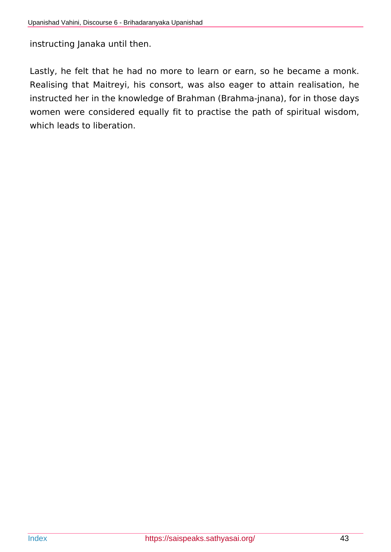instructing Janaka until then.

Lastly, he felt that he had no more to learn or earn, so he became a monk. Realising that Maitreyi, his consort, was also eager to attain realisation, he instructed her in the knowledge of Brahman (Brahma-jnana), for in those days women were considered equally fit to practise the path of spiritual wisdom, which leads to liberation.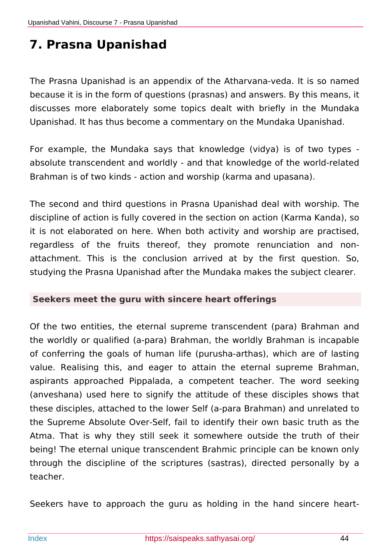# **7. Prasna Upanishad**

The Prasna Upanishad is an appendix of the Atharvana-veda. It is so named because it is in the form of questions (prasnas) and answers. By this means, it discusses more elaborately some topics dealt with briefly in the Mundaka Upanishad. It has thus become a commentary on the Mundaka Upanishad.

For example, the Mundaka says that knowledge (vidya) is of two types absolute transcendent and worldly - and that knowledge of the world-related Brahman is of two kinds - action and worship (karma and upasana).

The second and third questions in Prasna Upanishad deal with worship. The discipline of action is fully covered in the section on action (Karma Kanda), so it is not elaborated on here. When both activity and worship are practised, regardless of the fruits thereof, they promote renunciation and nonattachment. This is the conclusion arrived at by the first question. So, studying the Prasna Upanishad after the Mundaka makes the subject clearer.

#### **Seekers meet the guru with sincere heart offerings**

Of the two entities, the eternal supreme transcendent (para) Brahman and the worldly or qualified (a-para) Brahman, the worldly Brahman is incapable of conferring the goals of human life (purusha-arthas), which are of lasting value. Realising this, and eager to attain the eternal supreme Brahman, aspirants approached Pippalada, a competent teacher. The word seeking (anveshana) used here to signify the attitude of these disciples shows that these disciples, attached to the lower Self (a-para Brahman) and unrelated to the Supreme Absolute Over-Self, fail to identify their own basic truth as the Atma. That is why they still seek it somewhere outside the truth of their being! The eternal unique transcendent Brahmic principle can be known only through the discipline of the scriptures (sastras), directed personally by a teacher.

Seekers have to approach the guru as holding in the hand sincere heart-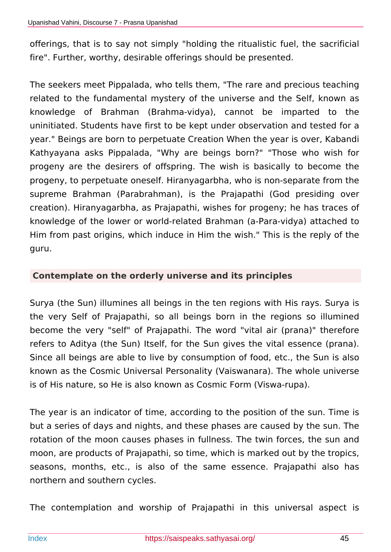offerings, that is to say not simply "holding the ritualistic fuel, the sacrificial fire". Further, worthy, desirable offerings should be presented.

The seekers meet Pippalada, who tells them, "The rare and precious teaching related to the fundamental mystery of the universe and the Self, known as knowledge of Brahman (Brahma-vidya), cannot be imparted to the uninitiated. Students have first to be kept under observation and tested for a year." Beings are born to perpetuate Creation When the year is over, Kabandi Kathyayana asks Pippalada, "Why are beings born?" "Those who wish for progeny are the desirers of offspring. The wish is basically to become the progeny, to perpetuate oneself. Hiranyagarbha, who is non-separate from the supreme Brahman (Parabrahman), is the Prajapathi (God presiding over creation). Hiranyagarbha, as Prajapathi, wishes for progeny; he has traces of knowledge of the lower or world-related Brahman (a-Para-vidya) attached to Him from past origins, which induce in Him the wish." This is the reply of the guru.

#### **Contemplate on the orderly universe and its principles**

Surya (the Sun) illumines all beings in the ten regions with His rays. Surya is the very Self of Prajapathi, so all beings born in the regions so illumined become the very "self" of Prajapathi. The word "vital air (prana)" therefore refers to Aditya (the Sun) Itself, for the Sun gives the vital essence (prana). Since all beings are able to live by consumption of food, etc., the Sun is also known as the Cosmic Universal Personality (Vaiswanara). The whole universe is of His nature, so He is also known as Cosmic Form (Viswa-rupa).

The year is an indicator of time, according to the position of the sun. Time is but a series of days and nights, and these phases are caused by the sun. The rotation of the moon causes phases in fullness. The twin forces, the sun and moon, are products of Prajapathi, so time, which is marked out by the tropics, seasons, months, etc., is also of the same essence. Prajapathi also has northern and southern cycles.

The contemplation and worship of Prajapathi in this universal aspect is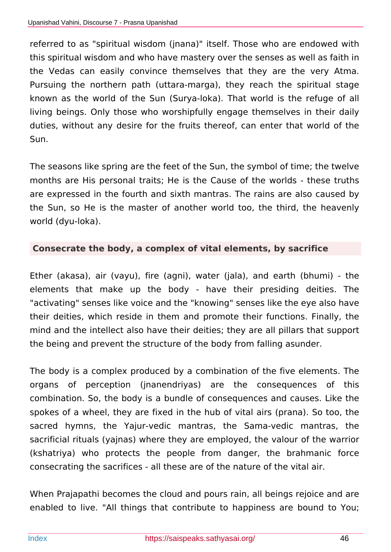referred to as "spiritual wisdom (jnana)" itself. Those who are endowed with this spiritual wisdom and who have mastery over the senses as well as faith in the Vedas can easily convince themselves that they are the very Atma. Pursuing the northern path (uttara-marga), they reach the spiritual stage known as the world of the Sun (Surya-loka). That world is the refuge of all living beings. Only those who worshipfully engage themselves in their daily duties, without any desire for the fruits thereof, can enter that world of the Sun.

The seasons like spring are the feet of the Sun, the symbol of time; the twelve months are His personal traits; He is the Cause of the worlds - these truths are expressed in the fourth and sixth mantras. The rains are also caused by the Sun, so He is the master of another world too, the third, the heavenly world (dyu-loka).

### **Consecrate the body, a complex of vital elements, by sacrifice**

Ether (akasa), air (vayu), fire (agni), water (jala), and earth (bhumi) - the elements that make up the body - have their presiding deities. The "activating" senses like voice and the "knowing" senses like the eye also have their deities, which reside in them and promote their functions. Finally, the mind and the intellect also have their deities; they are all pillars that support the being and prevent the structure of the body from falling asunder.

The body is a complex produced by a combination of the five elements. The organs of perception (jnanendriyas) are the consequences of this combination. So, the body is a bundle of consequences and causes. Like the spokes of a wheel, they are fixed in the hub of vital airs (prana). So too, the sacred hymns, the Yajur-vedic mantras, the Sama-vedic mantras, the sacrificial rituals (yajnas) where they are employed, the valour of the warrior (kshatriya) who protects the people from danger, the brahmanic force consecrating the sacrifices - all these are of the nature of the vital air.

When Prajapathi becomes the cloud and pours rain, all beings rejoice and are enabled to live. "All things that contribute to happiness are bound to You;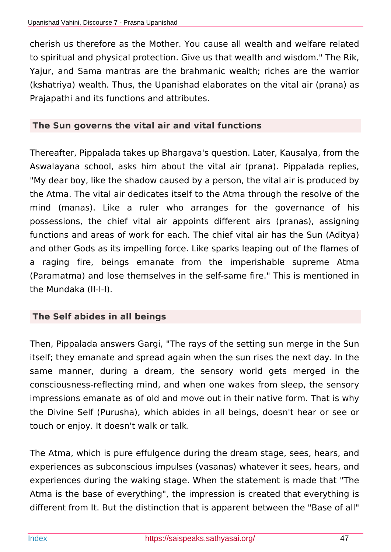cherish us therefore as the Mother. You cause all wealth and welfare related to spiritual and physical protection. Give us that wealth and wisdom." The Rik, Yajur, and Sama mantras are the brahmanic wealth; riches are the warrior (kshatriya) wealth. Thus, the Upanishad elaborates on the vital air (prana) as Prajapathi and its functions and attributes.

#### **The Sun governs the vital air and vital functions**

Thereafter, Pippalada takes up Bhargava's question. Later, Kausalya, from the Aswalayana school, asks him about the vital air (prana). Pippalada replies, "My dear boy, like the shadow caused by a person, the vital air is produced by the Atma. The vital air dedicates itself to the Atma through the resolve of the mind (manas). Like a ruler who arranges for the governance of his possessions, the chief vital air appoints different airs (pranas), assigning functions and areas of work for each. The chief vital air has the Sun (Aditya) and other Gods as its impelling force. Like sparks leaping out of the flames of a raging fire, beings emanate from the imperishable supreme Atma (Paramatma) and lose themselves in the self-same fire." This is mentioned in the Mundaka (II-I-I).

#### **The Self abides in all beings**

Then, Pippalada answers Gargi, "The rays of the setting sun merge in the Sun itself; they emanate and spread again when the sun rises the next day. In the same manner, during a dream, the sensory world gets merged in the consciousness-reflecting mind, and when one wakes from sleep, the sensory impressions emanate as of old and move out in their native form. That is why the Divine Self (Purusha), which abides in all beings, doesn't hear or see or touch or enjoy. It doesn't walk or talk.

The Atma, which is pure effulgence during the dream stage, sees, hears, and experiences as subconscious impulses (vasanas) whatever it sees, hears, and experiences during the waking stage. When the statement is made that "The Atma is the base of everything", the impression is created that everything is different from It. But the distinction that is apparent between the "Base of all"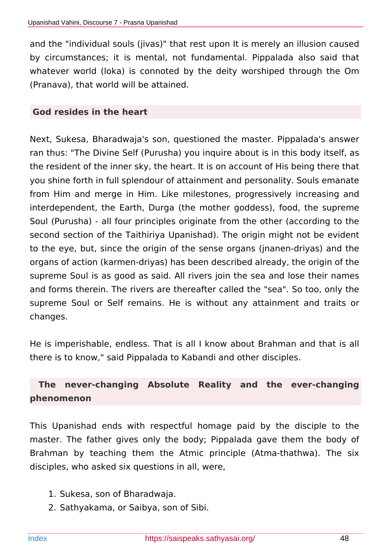and the "individual souls (jivas)" that rest upon It is merely an illusion caused by circumstances; it is mental, not fundamental. Pippalada also said that whatever world (loka) is connoted by the deity worshiped through the Om (Pranava), that world will be attained.

#### **God resides in the heart**

Next, Sukesa, Bharadwaja's son, questioned the master. Pippalada's answer ran thus: "The Divine Self (Purusha) you inquire about is in this body itself, as the resident of the inner sky, the heart. It is on account of His being there that you shine forth in full splendour of attainment and personality. Souls emanate from Him and merge in Him. Like milestones, progressively increasing and interdependent, the Earth, Durga (the mother goddess), food, the supreme Soul (Purusha) - all four principles originate from the other (according to the second section of the Taithiriya Upanishad). The origin might not be evident to the eye, but, since the origin of the sense organs (jnanen-driyas) and the organs of action (karmen-driyas) has been described already, the origin of the supreme Soul is as good as said. All rivers join the sea and lose their names and forms therein. The rivers are thereafter called the "sea". So too, only the supreme Soul or Self remains. He is without any attainment and traits or changes.

He is imperishable, endless. That is all I know about Brahman and that is all there is to know," said Pippalada to Kabandi and other disciples.

## **The never-changing Absolute Reality and the ever-changing phenomenon**

This Upanishad ends with respectful homage paid by the disciple to the master. The father gives only the body; Pippalada gave them the body of Brahman by teaching them the Atmic principle (Atma-thathwa). The six disciples, who asked six questions in all, were,

- 1. Sukesa, son of Bharadwaja.
- 2. Sathyakama, or Saibya, son of Sibi.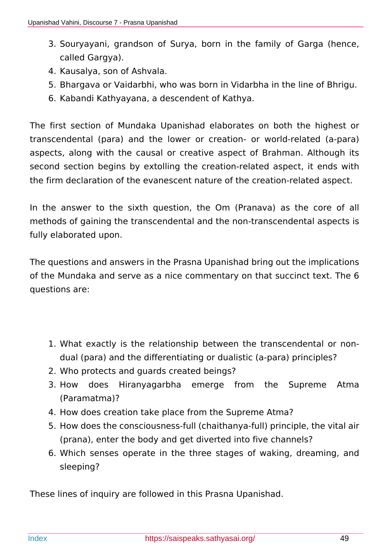- 3. Souryayani, grandson of Surya, born in the family of Garga (hence, called Gargya).
- 4. Kausalya, son of Ashvala.
- 5. Bhargava or Vaidarbhi, who was born in Vidarbha in the line of Bhrigu.
- 6. Kabandi Kathyayana, a descendent of Kathya.

The first section of Mundaka Upanishad elaborates on both the highest or transcendental (para) and the lower or creation- or world-related (a-para) aspects, along with the causal or creative aspect of Brahman. Although its second section begins by extolling the creation-related aspect, it ends with the firm declaration of the evanescent nature of the creation-related aspect.

In the answer to the sixth question, the Om (Pranava) as the core of all methods of gaining the transcendental and the non-transcendental aspects is fully elaborated upon.

The questions and answers in the Prasna Upanishad bring out the implications of the Mundaka and serve as a nice commentary on that succinct text. The 6 questions are:

- 1. What exactly is the relationship between the transcendental or nondual (para) and the differentiating or dualistic (a-para) principles?
- 2. Who protects and guards created beings?
- 3. How does Hiranyagarbha emerge from the Supreme Atma (Paramatma)?
- 4. How does creation take place from the Supreme Atma?
- 5. How does the consciousness-full (chaithanya-full) principle, the vital air (prana), enter the body and get diverted into five channels?
- 6. Which senses operate in the three stages of waking, dreaming, and sleeping?

These lines of inquiry are followed in this Prasna Upanishad.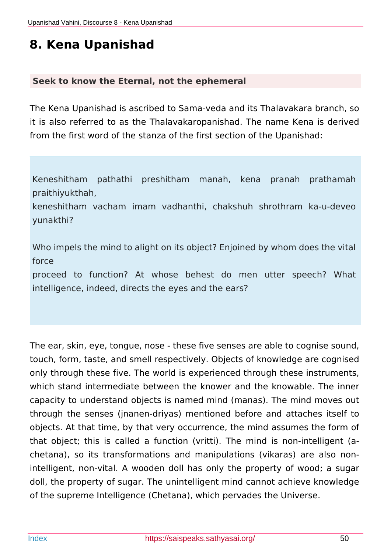# **8. Kena Upanishad**

#### **Seek to know the Eternal, not the ephemeral**

The Kena Upanishad is ascribed to Sama-veda and its Thalavakara branch, so it is also referred to as the Thalavakaropanishad. The name Kena is derived from the first word of the stanza of the first section of the Upanishad:

Keneshitham pathathi preshitham manah, kena pranah prathamah praithiyukthah,

keneshitham vacham imam vadhanthi, chakshuh shrothram ka-u-deveo yunakthi?

Who impels the mind to alight on its object? Enjoined by whom does the vital force

proceed to function? At whose behest do men utter speech? What intelligence, indeed, directs the eyes and the ears?

The ear, skin, eye, tongue, nose - these five senses are able to cognise sound, touch, form, taste, and smell respectively. Objects of knowledge are cognised only through these five. The world is experienced through these instruments, which stand intermediate between the knower and the knowable. The inner capacity to understand objects is named mind (manas). The mind moves out through the senses (jnanen-driyas) mentioned before and attaches itself to objects. At that time, by that very occurrence, the mind assumes the form of that object; this is called a function (vritti). The mind is non-intelligent (achetana), so its transformations and manipulations (vikaras) are also nonintelligent, non-vital. A wooden doll has only the property of wood; a sugar doll, the property of sugar. The unintelligent mind cannot achieve knowledge of the supreme Intelligence (Chetana), which pervades the Universe.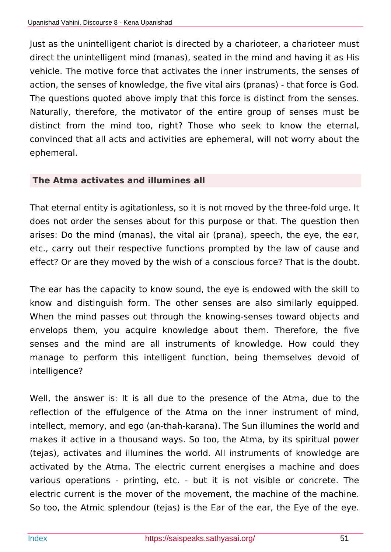Just as the unintelligent chariot is directed by a charioteer, a charioteer must direct the unintelligent mind (manas), seated in the mind and having it as His vehicle. The motive force that activates the inner instruments, the senses of action, the senses of knowledge, the five vital airs (pranas) - that force is God. The questions quoted above imply that this force is distinct from the senses. Naturally, therefore, the motivator of the entire group of senses must be distinct from the mind too, right? Those who seek to know the eternal, convinced that all acts and activities are ephemeral, will not worry about the ephemeral.

#### **The Atma activates and illumines all**

That eternal entity is agitationless, so it is not moved by the three-fold urge. It does not order the senses about for this purpose or that. The question then arises: Do the mind (manas), the vital air (prana), speech, the eye, the ear, etc., carry out their respective functions prompted by the law of cause and effect? Or are they moved by the wish of a conscious force? That is the doubt.

The ear has the capacity to know sound, the eye is endowed with the skill to know and distinguish form. The other senses are also similarly equipped. When the mind passes out through the knowing-senses toward objects and envelops them, you acquire knowledge about them. Therefore, the five senses and the mind are all instruments of knowledge. How could they manage to perform this intelligent function, being themselves devoid of intelligence?

Well, the answer is: It is all due to the presence of the Atma, due to the reflection of the effulgence of the Atma on the inner instrument of mind, intellect, memory, and ego (an-thah-karana). The Sun illumines the world and makes it active in a thousand ways. So too, the Atma, by its spiritual power (tejas), activates and illumines the world. All instruments of knowledge are activated by the Atma. The electric current energises a machine and does various operations - printing, etc. - but it is not visible or concrete. The electric current is the mover of the movement, the machine of the machine. So too, the Atmic splendour (tejas) is the Ear of the ear, the Eye of the eye.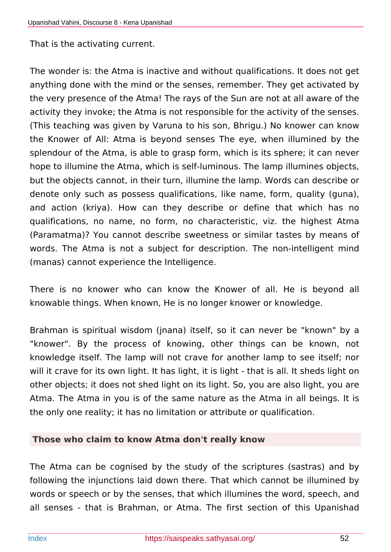That is the activating current.

The wonder is: the Atma is inactive and without qualifications. It does not get anything done with the mind or the senses, remember. They get activated by the very presence of the Atma! The rays of the Sun are not at all aware of the activity they invoke; the Atma is not responsible for the activity of the senses. (This teaching was given by Varuna to his son, Bhrigu.) No knower can know the Knower of All: Atma is beyond senses The eye, when illumined by the splendour of the Atma, is able to grasp form, which is its sphere; it can never hope to illumine the Atma, which is self-luminous. The lamp illumines objects, but the objects cannot, in their turn, illumine the lamp. Words can describe or denote only such as possess qualifications, like name, form, quality (guna), and action (kriya). How can they describe or define that which has no qualifications, no name, no form, no characteristic, viz. the highest Atma (Paramatma)? You cannot describe sweetness or similar tastes by means of words. The Atma is not a subject for description. The non-intelligent mind (manas) cannot experience the Intelligence.

There is no knower who can know the Knower of all. He is beyond all knowable things. When known, He is no longer knower or knowledge.

Brahman is spiritual wisdom (jnana) itself, so it can never be "known" by a "knower". By the process of knowing, other things can be known, not knowledge itself. The lamp will not crave for another lamp to see itself; nor will it crave for its own light. It has light, it is light - that is all. It sheds light on other objects; it does not shed light on its light. So, you are also light, you are Atma. The Atma in you is of the same nature as the Atma in all beings. It is the only one reality; it has no limitation or attribute or qualification.

#### **Those who claim to know Atma don't really know**

The Atma can be cognised by the study of the scriptures (sastras) and by following the injunctions laid down there. That which cannot be illumined by words or speech or by the senses, that which illumines the word, speech, and all senses - that is Brahman, or Atma. The first section of this Upanishad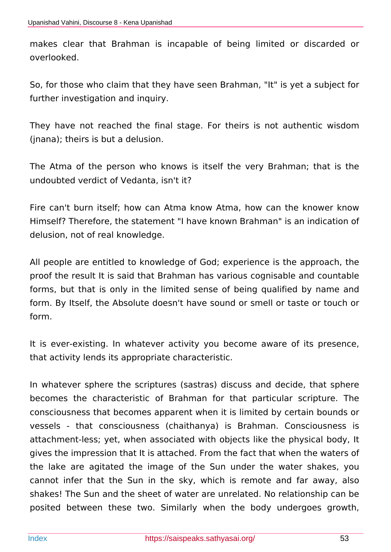makes clear that Brahman is incapable of being limited or discarded or overlooked.

So, for those who claim that they have seen Brahman, "It" is yet a subject for further investigation and inquiry.

They have not reached the final stage. For theirs is not authentic wisdom (jnana); theirs is but a delusion.

The Atma of the person who knows is itself the very Brahman; that is the undoubted verdict of Vedanta, isn't it?

Fire can't burn itself; how can Atma know Atma, how can the knower know Himself? Therefore, the statement "I have known Brahman" is an indication of delusion, not of real knowledge.

All people are entitled to knowledge of God; experience is the approach, the proof the result It is said that Brahman has various cognisable and countable forms, but that is only in the limited sense of being qualified by name and form. By Itself, the Absolute doesn't have sound or smell or taste or touch or form.

It is ever-existing. In whatever activity you become aware of its presence, that activity lends its appropriate characteristic.

In whatever sphere the scriptures (sastras) discuss and decide, that sphere becomes the characteristic of Brahman for that particular scripture. The consciousness that becomes apparent when it is limited by certain bounds or vessels - that consciousness (chaithanya) is Brahman. Consciousness is attachment-less; yet, when associated with objects like the physical body, It gives the impression that It is attached. From the fact that when the waters of the lake are agitated the image of the Sun under the water shakes, you cannot infer that the Sun in the sky, which is remote and far away, also shakes! The Sun and the sheet of water are unrelated. No relationship can be posited between these two. Similarly when the body undergoes growth,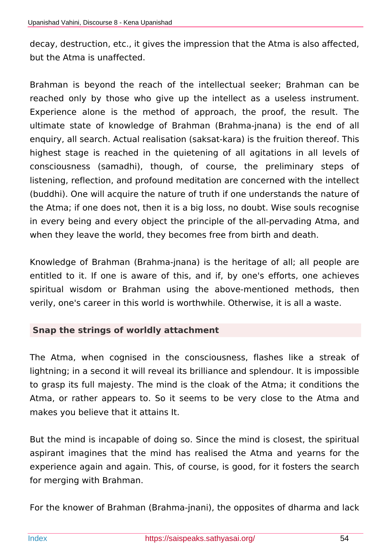decay, destruction, etc., it gives the impression that the Atma is also affected, but the Atma is unaffected.

Brahman is beyond the reach of the intellectual seeker; Brahman can be reached only by those who give up the intellect as a useless instrument. Experience alone is the method of approach, the proof, the result. The ultimate state of knowledge of Brahman (Brahma-jnana) is the end of all enquiry, all search. Actual realisation (saksat-kara) is the fruition thereof. This highest stage is reached in the quietening of all agitations in all levels of consciousness (samadhi), though, of course, the preliminary steps of listening, reflection, and profound meditation are concerned with the intellect (buddhi). One will acquire the nature of truth if one understands the nature of the Atma; if one does not, then it is a big loss, no doubt. Wise souls recognise in every being and every object the principle of the all-pervading Atma, and when they leave the world, they becomes free from birth and death.

Knowledge of Brahman (Brahma-jnana) is the heritage of all; all people are entitled to it. If one is aware of this, and if, by one's efforts, one achieves spiritual wisdom or Brahman using the above-mentioned methods, then verily, one's career in this world is worthwhile. Otherwise, it is all a waste.

## **Snap the strings of worldly attachment**

The Atma, when cognised in the consciousness, flashes like a streak of lightning; in a second it will reveal its brilliance and splendour. It is impossible to grasp its full majesty. The mind is the cloak of the Atma; it conditions the Atma, or rather appears to. So it seems to be very close to the Atma and makes you believe that it attains It.

But the mind is incapable of doing so. Since the mind is closest, the spiritual aspirant imagines that the mind has realised the Atma and yearns for the experience again and again. This, of course, is good, for it fosters the search for merging with Brahman.

For the knower of Brahman (Brahma-jnani), the opposites of dharma and lack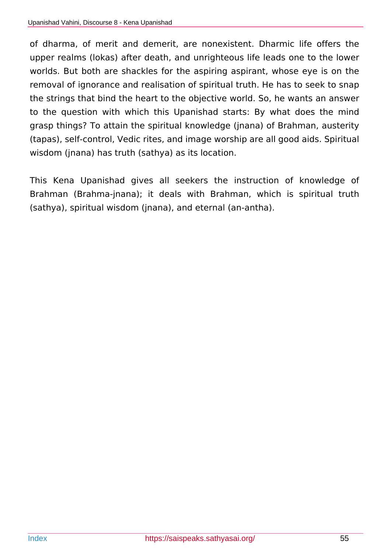of dharma, of merit and demerit, are nonexistent. Dharmic life offers the upper realms (lokas) after death, and unrighteous life leads one to the lower worlds. But both are shackles for the aspiring aspirant, whose eye is on the removal of ignorance and realisation of spiritual truth. He has to seek to snap the strings that bind the heart to the objective world. So, he wants an answer to the question with which this Upanishad starts: By what does the mind grasp things? To attain the spiritual knowledge (jnana) of Brahman, austerity (tapas), self-control, Vedic rites, and image worship are all good aids. Spiritual wisdom (jnana) has truth (sathya) as its location.

This Kena Upanishad gives all seekers the instruction of knowledge of Brahman (Brahma-jnana); it deals with Brahman, which is spiritual truth (sathya), spiritual wisdom (jnana), and eternal (an-antha).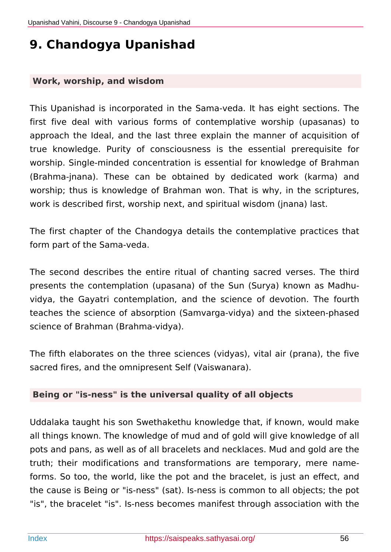# **9. Chandogya Upanishad**

#### **Work, worship, and wisdom**

This Upanishad is incorporated in the Sama-veda. It has eight sections. The first five deal with various forms of contemplative worship (upasanas) to approach the Ideal, and the last three explain the manner of acquisition of true knowledge. Purity of consciousness is the essential prerequisite for worship. Single-minded concentration is essential for knowledge of Brahman (Brahma-jnana). These can be obtained by dedicated work (karma) and worship; thus is knowledge of Brahman won. That is why, in the scriptures, work is described first, worship next, and spiritual wisdom (jnana) last.

The first chapter of the Chandogya details the contemplative practices that form part of the Sama-veda.

The second describes the entire ritual of chanting sacred verses. The third presents the contemplation (upasana) of the Sun (Surya) known as Madhuvidya, the Gayatri contemplation, and the science of devotion. The fourth teaches the science of absorption (Samvarga-vidya) and the sixteen-phased science of Brahman (Brahma-vidya).

The fifth elaborates on the three sciences (vidyas), vital air (prana), the five sacred fires, and the omnipresent Self (Vaiswanara).

#### **Being or "is-ness" is the universal quality of all objects**

Uddalaka taught his son Swethakethu knowledge that, if known, would make all things known. The knowledge of mud and of gold will give knowledge of all pots and pans, as well as of all bracelets and necklaces. Mud and gold are the truth; their modifications and transformations are temporary, mere nameforms. So too, the world, like the pot and the bracelet, is just an effect, and the cause is Being or "is-ness" (sat). Is-ness is common to all objects; the pot "is", the bracelet "is". Is-ness becomes manifest through association with the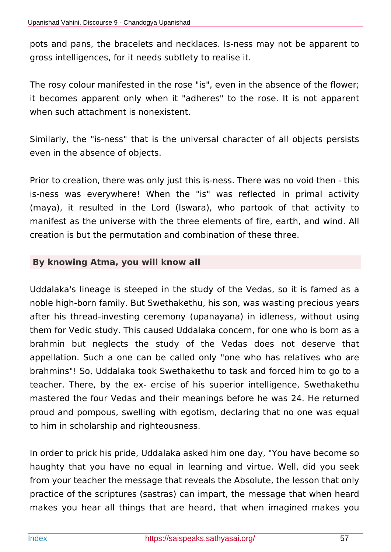pots and pans, the bracelets and necklaces. Is-ness may not be apparent to gross intelligences, for it needs subtlety to realise it.

The rosy colour manifested in the rose "is", even in the absence of the flower; it becomes apparent only when it "adheres" to the rose. It is not apparent when such attachment is nonexistent.

Similarly, the "is-ness" that is the universal character of all objects persists even in the absence of objects.

Prior to creation, there was only just this is-ness. There was no void then - this is-ness was everywhere! When the "is" was reflected in primal activity (maya), it resulted in the Lord (Iswara), who partook of that activity to manifest as the universe with the three elements of fire, earth, and wind. All creation is but the permutation and combination of these three.

#### **By knowing Atma, you will know all**

Uddalaka's lineage is steeped in the study of the Vedas, so it is famed as a noble high-born family. But Swethakethu, his son, was wasting precious years after his thread-investing ceremony (upanayana) in idleness, without using them for Vedic study. This caused Uddalaka concern, for one who is born as a brahmin but neglects the study of the Vedas does not deserve that appellation. Such a one can be called only "one who has relatives who are brahmins"! So, Uddalaka took Swethakethu to task and forced him to go to a teacher. There, by the ex- ercise of his superior intelligence, Swethakethu mastered the four Vedas and their meanings before he was 24. He returned proud and pompous, swelling with egotism, declaring that no one was equal to him in scholarship and righteousness.

In order to prick his pride, Uddalaka asked him one day, "You have become so haughty that you have no equal in learning and virtue. Well, did you seek from your teacher the message that reveals the Absolute, the lesson that only practice of the scriptures (sastras) can impart, the message that when heard makes you hear all things that are heard, that when imagined makes you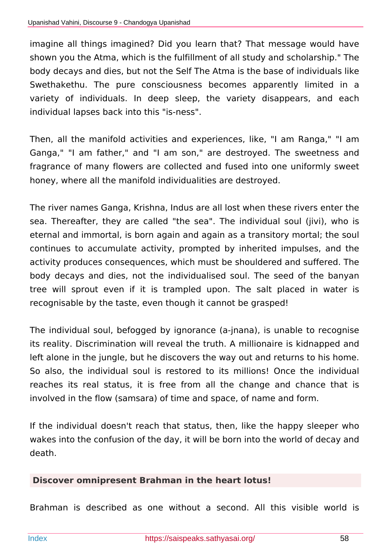imagine all things imagined? Did you learn that? That message would have shown you the Atma, which is the fulfillment of all study and scholarship." The body decays and dies, but not the Self The Atma is the base of individuals like Swethakethu. The pure consciousness becomes apparently limited in a variety of individuals. In deep sleep, the variety disappears, and each individual lapses back into this "is-ness".

Then, all the manifold activities and experiences, like, "I am Ranga," "I am Ganga," "I am father," and "I am son," are destroyed. The sweetness and fragrance of many flowers are collected and fused into one uniformly sweet honey, where all the manifold individualities are destroyed.

The river names Ganga, Krishna, Indus are all lost when these rivers enter the sea. Thereafter, they are called "the sea". The individual soul (jivi), who is eternal and immortal, is born again and again as a transitory mortal; the soul continues to accumulate activity, prompted by inherited impulses, and the activity produces consequences, which must be shouldered and suffered. The body decays and dies, not the individualised soul. The seed of the banyan tree will sprout even if it is trampled upon. The salt placed in water is recognisable by the taste, even though it cannot be grasped!

The individual soul, befogged by ignorance (a-jnana), is unable to recognise its reality. Discrimination will reveal the truth. A millionaire is kidnapped and left alone in the jungle, but he discovers the way out and returns to his home. So also, the individual soul is restored to its millions! Once the individual reaches its real status, it is free from all the change and chance that is involved in the flow (samsara) of time and space, of name and form.

If the individual doesn't reach that status, then, like the happy sleeper who wakes into the confusion of the day, it will be born into the world of decay and death.

## **Discover omnipresent Brahman in the heart lotus!**

Brahman is described as one without a second. All this visible world is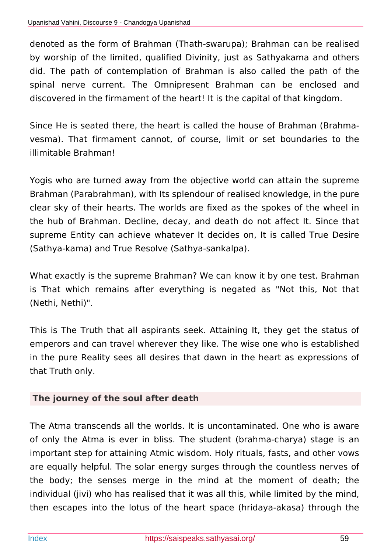denoted as the form of Brahman (Thath-swarupa); Brahman can be realised by worship of the limited, qualified Divinity, just as Sathyakama and others did. The path of contemplation of Brahman is also called the path of the spinal nerve current. The Omnipresent Brahman can be enclosed and discovered in the firmament of the heart! It is the capital of that kingdom.

Since He is seated there, the heart is called the house of Brahman (Brahmavesma). That firmament cannot, of course, limit or set boundaries to the illimitable Brahman!

Yogis who are turned away from the objective world can attain the supreme Brahman (Parabrahman), with Its splendour of realised knowledge, in the pure clear sky of their hearts. The worlds are fixed as the spokes of the wheel in the hub of Brahman. Decline, decay, and death do not affect It. Since that supreme Entity can achieve whatever It decides on, It is called True Desire (Sathya-kama) and True Resolve (Sathya-sankalpa).

What exactly is the supreme Brahman? We can know it by one test. Brahman is That which remains after everything is negated as "Not this, Not that (Nethi, Nethi)".

This is The Truth that all aspirants seek. Attaining It, they get the status of emperors and can travel wherever they like. The wise one who is established in the pure Reality sees all desires that dawn in the heart as expressions of that Truth only.

## **The journey of the soul after death**

The Atma transcends all the worlds. It is uncontaminated. One who is aware of only the Atma is ever in bliss. The student (brahma-charya) stage is an important step for attaining Atmic wisdom. Holy rituals, fasts, and other vows are equally helpful. The solar energy surges through the countless nerves of the body; the senses merge in the mind at the moment of death; the individual (jivi) who has realised that it was all this, while limited by the mind, then escapes into the lotus of the heart space (hridaya-akasa) through the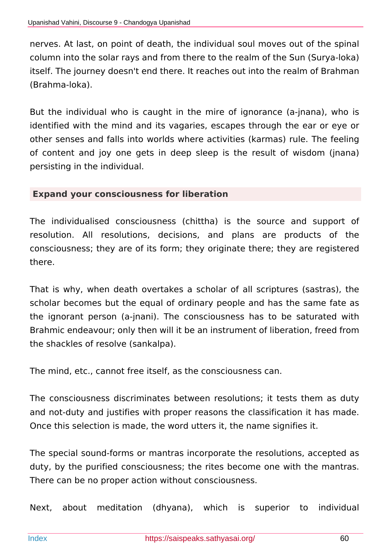nerves. At last, on point of death, the individual soul moves out of the spinal column into the solar rays and from there to the realm of the Sun (Surya-loka) itself. The journey doesn't end there. It reaches out into the realm of Brahman (Brahma-loka).

But the individual who is caught in the mire of ignorance (a-jnana), who is identified with the mind and its vagaries, escapes through the ear or eye or other senses and falls into worlds where activities (karmas) rule. The feeling of content and joy one gets in deep sleep is the result of wisdom (jnana) persisting in the individual.

#### **Expand your consciousness for liberation**

The individualised consciousness (chittha) is the source and support of resolution. All resolutions, decisions, and plans are products of the consciousness; they are of its form; they originate there; they are registered there.

That is why, when death overtakes a scholar of all scriptures (sastras), the scholar becomes but the equal of ordinary people and has the same fate as the ignorant person (a-jnani). The consciousness has to be saturated with Brahmic endeavour; only then will it be an instrument of liberation, freed from the shackles of resolve (sankalpa).

The mind, etc., cannot free itself, as the consciousness can.

The consciousness discriminates between resolutions; it tests them as duty and not-duty and justifies with proper reasons the classification it has made. Once this selection is made, the word utters it, the name signifies it.

The special sound-forms or mantras incorporate the resolutions, accepted as duty, by the purified consciousness; the rites become one with the mantras. There can be no proper action without consciousness.

Next, about meditation (dhyana), which is superior to individual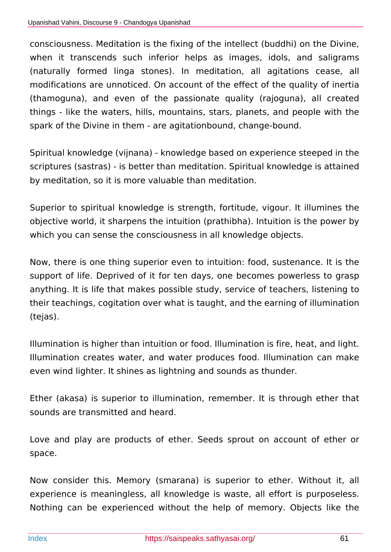consciousness. Meditation is the fixing of the intellect (buddhi) on the Divine, when it transcends such inferior helps as images, idols, and saligrams (naturally formed linga stones). In meditation, all agitations cease, all modifications are unnoticed. On account of the effect of the quality of inertia (thamoguna), and even of the passionate quality (rajoguna), all created things - like the waters, hills, mountains, stars, planets, and people with the spark of the Divine in them - are agitationbound, change-bound.

Spiritual knowledge (vijnana) - knowledge based on experience steeped in the scriptures (sastras) - is better than meditation. Spiritual knowledge is attained by meditation, so it is more valuable than meditation.

Superior to spiritual knowledge is strength, fortitude, vigour. It illumines the objective world, it sharpens the intuition (prathibha). Intuition is the power by which you can sense the consciousness in all knowledge objects.

Now, there is one thing superior even to intuition: food, sustenance. It is the support of life. Deprived of it for ten days, one becomes powerless to grasp anything. It is life that makes possible study, service of teachers, listening to their teachings, cogitation over what is taught, and the earning of illumination (tejas).

Illumination is higher than intuition or food. Illumination is fire, heat, and light. Illumination creates water, and water produces food. Illumination can make even wind lighter. It shines as lightning and sounds as thunder.

Ether (akasa) is superior to illumination, remember. It is through ether that sounds are transmitted and heard.

Love and play are products of ether. Seeds sprout on account of ether or space.

Now consider this. Memory (smarana) is superior to ether. Without it, all experience is meaningless, all knowledge is waste, all effort is purposeless. Nothing can be experienced without the help of memory. Objects like the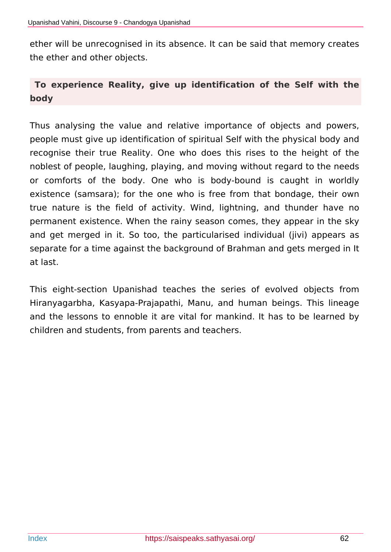ether will be unrecognised in its absence. It can be said that memory creates the ether and other objects.

## **To experience Reality, give up identification of the Self with the body**

Thus analysing the value and relative importance of objects and powers, people must give up identification of spiritual Self with the physical body and recognise their true Reality. One who does this rises to the height of the noblest of people, laughing, playing, and moving without regard to the needs or comforts of the body. One who is body-bound is caught in worldly existence (samsara); for the one who is free from that bondage, their own true nature is the field of activity. Wind, lightning, and thunder have no permanent existence. When the rainy season comes, they appear in the sky and get merged in it. So too, the particularised individual (jivi) appears as separate for a time against the background of Brahman and gets merged in It at last.

This eight-section Upanishad teaches the series of evolved objects from Hiranyagarbha, Kasyapa-Prajapathi, Manu, and human beings. This lineage and the lessons to ennoble it are vital for mankind. It has to be learned by children and students, from parents and teachers.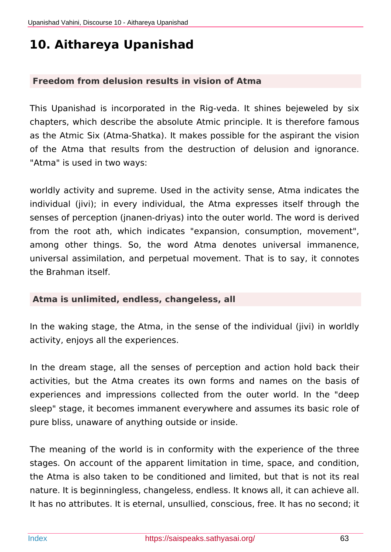## **10. Aithareya Upanishad**

#### **Freedom from delusion results in vision of Atma**

This Upanishad is incorporated in the Rig-veda. It shines bejeweled by six chapters, which describe the absolute Atmic principle. It is therefore famous as the Atmic Six (Atma-Shatka). It makes possible for the aspirant the vision of the Atma that results from the destruction of delusion and ignorance. "Atma" is used in two ways:

worldly activity and supreme. Used in the activity sense, Atma indicates the individual (jivi); in every individual, the Atma expresses itself through the senses of perception (jnanen-driyas) into the outer world. The word is derived from the root ath, which indicates "expansion, consumption, movement", among other things. So, the word Atma denotes universal immanence, universal assimilation, and perpetual movement. That is to say, it connotes the Brahman itself.

#### **Atma is unlimited, endless, changeless, all**

In the waking stage, the Atma, in the sense of the individual (jivi) in worldly activity, enjoys all the experiences.

In the dream stage, all the senses of perception and action hold back their activities, but the Atma creates its own forms and names on the basis of experiences and impressions collected from the outer world. In the "deep sleep" stage, it becomes immanent everywhere and assumes its basic role of pure bliss, unaware of anything outside or inside.

The meaning of the world is in conformity with the experience of the three stages. On account of the apparent limitation in time, space, and condition, the Atma is also taken to be conditioned and limited, but that is not its real nature. It is beginningless, changeless, endless. It knows all, it can achieve all. It has no attributes. It is eternal, unsullied, conscious, free. It has no second; it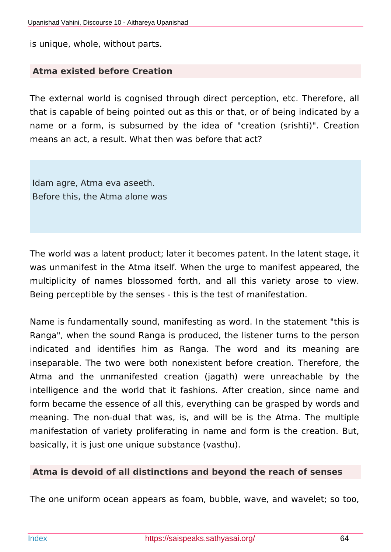is unique, whole, without parts.

#### **Atma existed before Creation**

The external world is cognised through direct perception, etc. Therefore, all that is capable of being pointed out as this or that, or of being indicated by a name or a form, is subsumed by the idea of "creation (srishti)". Creation means an act, a result. What then was before that act?

Idam agre, Atma eva aseeth. Before this, the Atma alone was

The world was a latent product; later it becomes patent. In the latent stage, it was unmanifest in the Atma itself. When the urge to manifest appeared, the multiplicity of names blossomed forth, and all this variety arose to view. Being perceptible by the senses - this is the test of manifestation.

Name is fundamentally sound, manifesting as word. In the statement "this is Ranga", when the sound Ranga is produced, the listener turns to the person indicated and identifies him as Ranga. The word and its meaning are inseparable. The two were both nonexistent before creation. Therefore, the Atma and the unmanifested creation (jagath) were unreachable by the intelligence and the world that it fashions. After creation, since name and form became the essence of all this, everything can be grasped by words and meaning. The non-dual that was, is, and will be is the Atma. The multiple manifestation of variety proliferating in name and form is the creation. But, basically, it is just one unique substance (vasthu).

#### **Atma is devoid of all distinctions and beyond the reach of senses**

The one uniform ocean appears as foam, bubble, wave, and wavelet; so too,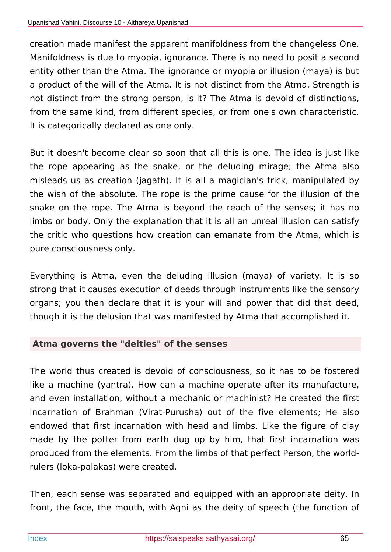creation made manifest the apparent manifoldness from the changeless One. Manifoldness is due to myopia, ignorance. There is no need to posit a second entity other than the Atma. The ignorance or myopia or illusion (maya) is but a product of the will of the Atma. It is not distinct from the Atma. Strength is not distinct from the strong person, is it? The Atma is devoid of distinctions, from the same kind, from different species, or from one's own characteristic. It is categorically declared as one only.

But it doesn't become clear so soon that all this is one. The idea is just like the rope appearing as the snake, or the deluding mirage; the Atma also misleads us as creation (jagath). It is all a magician's trick, manipulated by the wish of the absolute. The rope is the prime cause for the illusion of the snake on the rope. The Atma is beyond the reach of the senses; it has no limbs or body. Only the explanation that it is all an unreal illusion can satisfy the critic who questions how creation can emanate from the Atma, which is pure consciousness only.

Everything is Atma, even the deluding illusion (maya) of variety. It is so strong that it causes execution of deeds through instruments like the sensory organs; you then declare that it is your will and power that did that deed, though it is the delusion that was manifested by Atma that accomplished it.

#### **Atma governs the "deities" of the senses**

The world thus created is devoid of consciousness, so it has to be fostered like a machine (yantra). How can a machine operate after its manufacture, and even installation, without a mechanic or machinist? He created the first incarnation of Brahman (Virat-Purusha) out of the five elements; He also endowed that first incarnation with head and limbs. Like the figure of clay made by the potter from earth dug up by him, that first incarnation was produced from the elements. From the limbs of that perfect Person, the worldrulers (loka-palakas) were created.

Then, each sense was separated and equipped with an appropriate deity. In front, the face, the mouth, with Agni as the deity of speech (the function of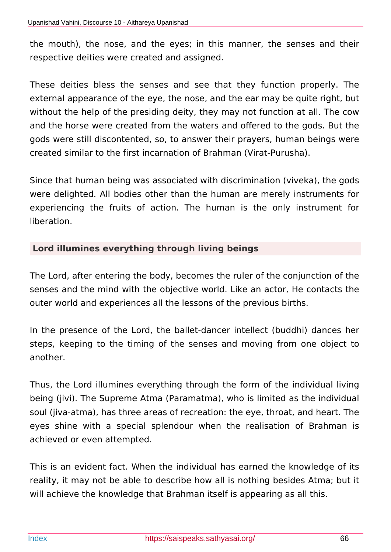the mouth), the nose, and the eyes; in this manner, the senses and their respective deities were created and assigned.

These deities bless the senses and see that they function properly. The external appearance of the eye, the nose, and the ear may be quite right, but without the help of the presiding deity, they may not function at all. The cow and the horse were created from the waters and offered to the gods. But the gods were still discontented, so, to answer their prayers, human beings were created similar to the first incarnation of Brahman (Virat-Purusha).

Since that human being was associated with discrimination (viveka), the gods were delighted. All bodies other than the human are merely instruments for experiencing the fruits of action. The human is the only instrument for liberation.

#### **Lord illumines everything through living beings**

The Lord, after entering the body, becomes the ruler of the conjunction of the senses and the mind with the objective world. Like an actor, He contacts the outer world and experiences all the lessons of the previous births.

In the presence of the Lord, the ballet-dancer intellect (buddhi) dances her steps, keeping to the timing of the senses and moving from one object to another.

Thus, the Lord illumines everything through the form of the individual living being (jivi). The Supreme Atma (Paramatma), who is limited as the individual soul (jiva-atma), has three areas of recreation: the eye, throat, and heart. The eyes shine with a special splendour when the realisation of Brahman is achieved or even attempted.

This is an evident fact. When the individual has earned the knowledge of its reality, it may not be able to describe how all is nothing besides Atma; but it will achieve the knowledge that Brahman itself is appearing as all this.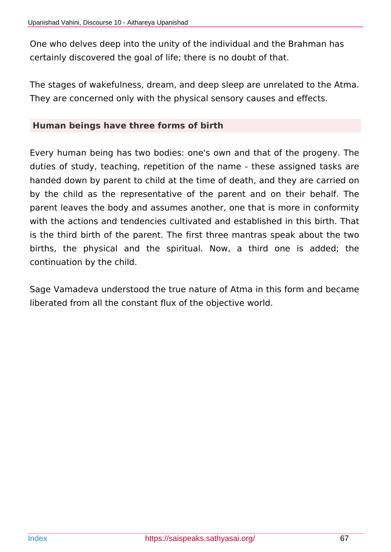One who delves deep into the unity of the individual and the Brahman has certainly discovered the goal of life; there is no doubt of that.

The stages of wakefulness, dream, and deep sleep are unrelated to the Atma. They are concerned only with the physical sensory causes and effects.

#### **Human beings have three forms of birth**

Every human being has two bodies: one's own and that of the progeny. The duties of study, teaching, repetition of the name - these assigned tasks are handed down by parent to child at the time of death, and they are carried on by the child as the representative of the parent and on their behalf. The parent leaves the body and assumes another, one that is more in conformity with the actions and tendencies cultivated and established in this birth. That is the third birth of the parent. The first three mantras speak about the two births, the physical and the spiritual. Now, a third one is added; the continuation by the child.

Sage Vamadeva understood the true nature of Atma in this form and became liberated from all the constant flux of the objective world.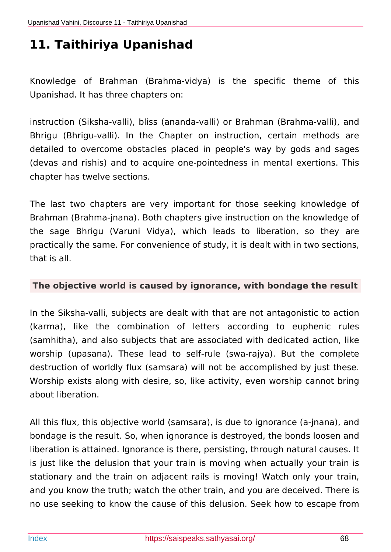# **11. Taithiriya Upanishad**

Knowledge of Brahman (Brahma-vidya) is the specific theme of this Upanishad. It has three chapters on:

instruction (Siksha-valli), bliss (ananda-valli) or Brahman (Brahma-valli), and Bhrigu (Bhrigu-valli). In the Chapter on instruction, certain methods are detailed to overcome obstacles placed in people's way by gods and sages (devas and rishis) and to acquire one-pointedness in mental exertions. This chapter has twelve sections.

The last two chapters are very important for those seeking knowledge of Brahman (Brahma-jnana). Both chapters give instruction on the knowledge of the sage Bhrigu (Varuni Vidya), which leads to liberation, so they are practically the same. For convenience of study, it is dealt with in two sections, that is all.

#### **The objective world is caused by ignorance, with bondage the result**

In the Siksha-valli, subjects are dealt with that are not antagonistic to action (karma), like the combination of letters according to euphenic rules (samhitha), and also subjects that are associated with dedicated action, like worship (upasana). These lead to self-rule (swa-rajya). But the complete destruction of worldly flux (samsara) will not be accomplished by just these. Worship exists along with desire, so, like activity, even worship cannot bring about liberation.

All this flux, this objective world (samsara), is due to ignorance (a-jnana), and bondage is the result. So, when ignorance is destroyed, the bonds loosen and liberation is attained. Ignorance is there, persisting, through natural causes. It is just like the delusion that your train is moving when actually your train is stationary and the train on adjacent rails is moving! Watch only your train, and you know the truth; watch the other train, and you are deceived. There is no use seeking to know the cause of this delusion. Seek how to escape from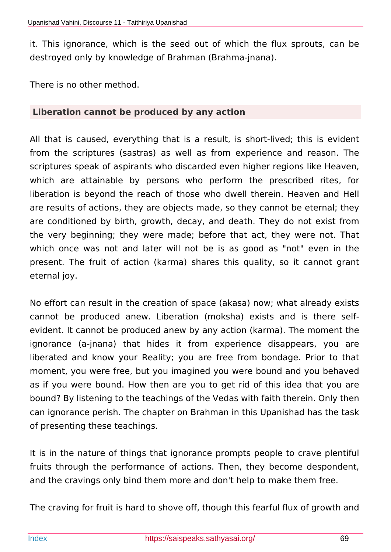it. This ignorance, which is the seed out of which the flux sprouts, can be destroyed only by knowledge of Brahman (Brahma-jnana).

There is no other method.

#### **Liberation cannot be produced by any action**

All that is caused, everything that is a result, is short-lived; this is evident from the scriptures (sastras) as well as from experience and reason. The scriptures speak of aspirants who discarded even higher regions like Heaven, which are attainable by persons who perform the prescribed rites, for liberation is beyond the reach of those who dwell therein. Heaven and Hell are results of actions, they are objects made, so they cannot be eternal; they are conditioned by birth, growth, decay, and death. They do not exist from the very beginning; they were made; before that act, they were not. That which once was not and later will not be is as good as "not" even in the present. The fruit of action (karma) shares this quality, so it cannot grant eternal joy.

No effort can result in the creation of space (akasa) now; what already exists cannot be produced anew. Liberation (moksha) exists and is there selfevident. It cannot be produced anew by any action (karma). The moment the ignorance (a-jnana) that hides it from experience disappears, you are liberated and know your Reality; you are free from bondage. Prior to that moment, you were free, but you imagined you were bound and you behaved as if you were bound. How then are you to get rid of this idea that you are bound? By listening to the teachings of the Vedas with faith therein. Only then can ignorance perish. The chapter on Brahman in this Upanishad has the task of presenting these teachings.

It is in the nature of things that ignorance prompts people to crave plentiful fruits through the performance of actions. Then, they become despondent, and the cravings only bind them more and don't help to make them free.

The craving for fruit is hard to shove off, though this fearful flux of growth and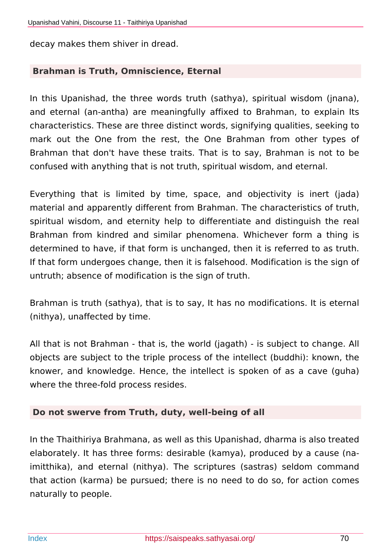decay makes them shiver in dread.

## **Brahman is Truth, Omniscience, Eternal**

In this Upanishad, the three words truth (sathya), spiritual wisdom (jnana), and eternal (an-antha) are meaningfully affixed to Brahman, to explain Its characteristics. These are three distinct words, signifying qualities, seeking to mark out the One from the rest, the One Brahman from other types of Brahman that don't have these traits. That is to say, Brahman is not to be confused with anything that is not truth, spiritual wisdom, and eternal.

Everything that is limited by time, space, and objectivity is inert (jada) material and apparently different from Brahman. The characteristics of truth, spiritual wisdom, and eternity help to differentiate and distinguish the real Brahman from kindred and similar phenomena. Whichever form a thing is determined to have, if that form is unchanged, then it is referred to as truth. If that form undergoes change, then it is falsehood. Modification is the sign of untruth; absence of modification is the sign of truth.

Brahman is truth (sathya), that is to say, It has no modifications. It is eternal (nithya), unaffected by time.

All that is not Brahman - that is, the world (jagath) - is subject to change. All objects are subject to the triple process of the intellect (buddhi): known, the knower, and knowledge. Hence, the intellect is spoken of as a cave (guha) where the three-fold process resides.

#### **Do not swerve from Truth, duty, well-being of all**

In the Thaithiriya Brahmana, as well as this Upanishad, dharma is also treated elaborately. It has three forms: desirable (kamya), produced by a cause (naimitthika), and eternal (nithya). The scriptures (sastras) seldom command that action (karma) be pursued; there is no need to do so, for action comes naturally to people.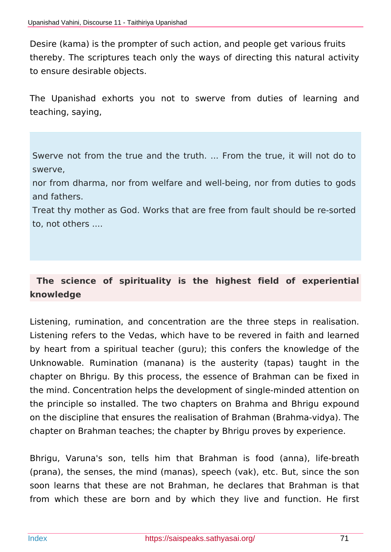Desire (kama) is the prompter of such action, and people get various fruits thereby. The scriptures teach only the ways of directing this natural activity to ensure desirable objects.

The Upanishad exhorts you not to swerve from duties of learning and teaching, saying,

Swerve not from the true and the truth. ... From the true, it will not do to swerve,

nor from dharma, nor from welfare and well-being, nor from duties to gods and fathers.

Treat thy mother as God. Works that are free from fault should be re-sorted to, not others ....

## **The science of spirituality is the highest field of experiential knowledge**

Listening, rumination, and concentration are the three steps in realisation. Listening refers to the Vedas, which have to be revered in faith and learned by heart from a spiritual teacher (guru); this confers the knowledge of the Unknowable. Rumination (manana) is the austerity (tapas) taught in the chapter on Bhrigu. By this process, the essence of Brahman can be fixed in the mind. Concentration helps the development of single-minded attention on the principle so installed. The two chapters on Brahma and Bhrigu expound on the discipline that ensures the realisation of Brahman (Brahma-vidya). The chapter on Brahman teaches; the chapter by Bhrigu proves by experience.

Bhrigu, Varuna's son, tells him that Brahman is food (anna), life-breath (prana), the senses, the mind (manas), speech (vak), etc. But, since the son soon learns that these are not Brahman, he declares that Brahman is that from which these are born and by which they live and function. He first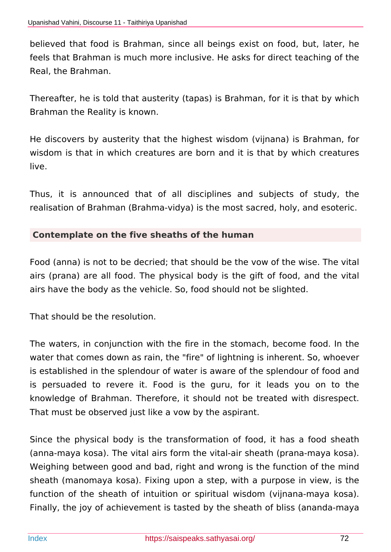believed that food is Brahman, since all beings exist on food, but, later, he feels that Brahman is much more inclusive. He asks for direct teaching of the Real, the Brahman.

Thereafter, he is told that austerity (tapas) is Brahman, for it is that by which Brahman the Reality is known.

He discovers by austerity that the highest wisdom (vijnana) is Brahman, for wisdom is that in which creatures are born and it is that by which creatures live.

Thus, it is announced that of all disciplines and subjects of study, the realisation of Brahman (Brahma-vidya) is the most sacred, holy, and esoteric.

#### **Contemplate on the five sheaths of the human**

Food (anna) is not to be decried; that should be the vow of the wise. The vital airs (prana) are all food. The physical body is the gift of food, and the vital airs have the body as the vehicle. So, food should not be slighted.

That should be the resolution.

The waters, in conjunction with the fire in the stomach, become food. In the water that comes down as rain, the "fire" of lightning is inherent. So, whoever is established in the splendour of water is aware of the splendour of food and is persuaded to revere it. Food is the guru, for it leads you on to the knowledge of Brahman. Therefore, it should not be treated with disrespect. That must be observed just like a vow by the aspirant.

Since the physical body is the transformation of food, it has a food sheath (anna-maya kosa). The vital airs form the vital-air sheath (prana-maya kosa). Weighing between good and bad, right and wrong is the function of the mind sheath (manomaya kosa). Fixing upon a step, with a purpose in view, is the function of the sheath of intuition or spiritual wisdom (vijnana-maya kosa). Finally, the joy of achievement is tasted by the sheath of bliss (ananda-maya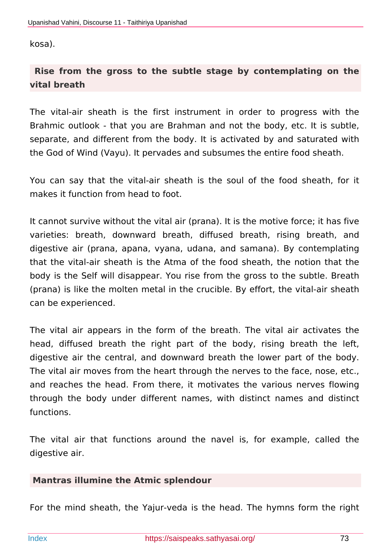kosa).

# **Rise from the gross to the subtle stage by contemplating on the vital breath**

The vital-air sheath is the first instrument in order to progress with the Brahmic outlook - that you are Brahman and not the body, etc. It is subtle, separate, and different from the body. It is activated by and saturated with the God of Wind (Vayu). It pervades and subsumes the entire food sheath.

You can say that the vital-air sheath is the soul of the food sheath, for it makes it function from head to foot.

It cannot survive without the vital air (prana). It is the motive force; it has five varieties: breath, downward breath, diffused breath, rising breath, and digestive air (prana, apana, vyana, udana, and samana). By contemplating that the vital-air sheath is the Atma of the food sheath, the notion that the body is the Self will disappear. You rise from the gross to the subtle. Breath (prana) is like the molten metal in the crucible. By effort, the vital-air sheath can be experienced.

The vital air appears in the form of the breath. The vital air activates the head, diffused breath the right part of the body, rising breath the left, digestive air the central, and downward breath the lower part of the body. The vital air moves from the heart through the nerves to the face, nose, etc., and reaches the head. From there, it motivates the various nerves flowing through the body under different names, with distinct names and distinct functions.

The vital air that functions around the navel is, for example, called the digestive air.

# **Mantras illumine the Atmic splendour**

For the mind sheath, the Yajur-veda is the head. The hymns form the right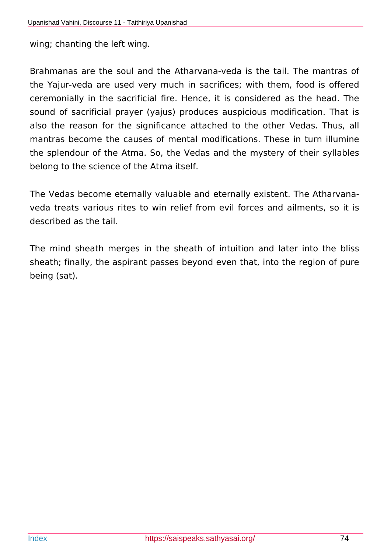wing; chanting the left wing.

Brahmanas are the soul and the Atharvana-veda is the tail. The mantras of the Yajur-veda are used very much in sacrifices; with them, food is offered ceremonially in the sacrificial fire. Hence, it is considered as the head. The sound of sacrificial prayer (yajus) produces auspicious modification. That is also the reason for the significance attached to the other Vedas. Thus, all mantras become the causes of mental modifications. These in turn illumine the splendour of the Atma. So, the Vedas and the mystery of their syllables belong to the science of the Atma itself.

The Vedas become eternally valuable and eternally existent. The Atharvanaveda treats various rites to win relief from evil forces and ailments, so it is described as the tail.

The mind sheath merges in the sheath of intuition and later into the bliss sheath; finally, the aspirant passes beyond even that, into the region of pure being (sat).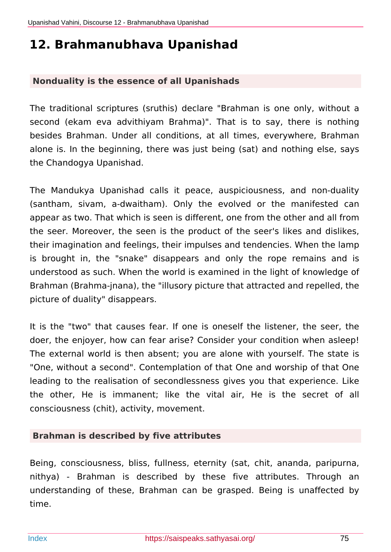# **12. Brahmanubhava Upanishad**

## **Nonduality is the essence of all Upanishads**

The traditional scriptures (sruthis) declare "Brahman is one only, without a second (ekam eva advithiyam Brahma)". That is to say, there is nothing besides Brahman. Under all conditions, at all times, everywhere, Brahman alone is. In the beginning, there was just being (sat) and nothing else, says the Chandogya Upanishad.

The Mandukya Upanishad calls it peace, auspiciousness, and non-duality (santham, sivam, a-dwaitham). Only the evolved or the manifested can appear as two. That which is seen is different, one from the other and all from the seer. Moreover, the seen is the product of the seer's likes and dislikes, their imagination and feelings, their impulses and tendencies. When the lamp is brought in, the "snake" disappears and only the rope remains and is understood as such. When the world is examined in the light of knowledge of Brahman (Brahma-jnana), the "illusory picture that attracted and repelled, the picture of duality" disappears.

It is the "two" that causes fear. If one is oneself the listener, the seer, the doer, the enjoyer, how can fear arise? Consider your condition when asleep! The external world is then absent; you are alone with yourself. The state is "One, without a second". Contemplation of that One and worship of that One leading to the realisation of secondlessness gives you that experience. Like the other, He is immanent; like the vital air, He is the secret of all consciousness (chit), activity, movement.

## **Brahman is described by five attributes**

Being, consciousness, bliss, fullness, eternity (sat, chit, ananda, paripurna, nithya) - Brahman is described by these five attributes. Through an understanding of these, Brahman can be grasped. Being is unaffected by time.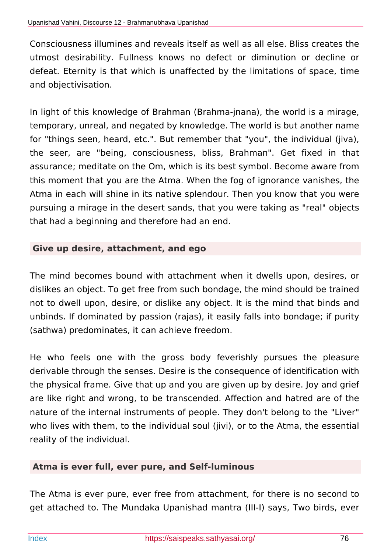Consciousness illumines and reveals itself as well as all else. Bliss creates the utmost desirability. Fullness knows no defect or diminution or decline or defeat. Eternity is that which is unaffected by the limitations of space, time and objectivisation.

In light of this knowledge of Brahman (Brahma-jnana), the world is a mirage, temporary, unreal, and negated by knowledge. The world is but another name for "things seen, heard, etc.". But remember that "you", the individual (jiva), the seer, are "being, consciousness, bliss, Brahman". Get fixed in that assurance; meditate on the Om, which is its best symbol. Become aware from this moment that you are the Atma. When the fog of ignorance vanishes, the Atma in each will shine in its native splendour. Then you know that you were pursuing a mirage in the desert sands, that you were taking as "real" objects that had a beginning and therefore had an end.

## **Give up desire, attachment, and ego**

The mind becomes bound with attachment when it dwells upon, desires, or dislikes an object. To get free from such bondage, the mind should be trained not to dwell upon, desire, or dislike any object. It is the mind that binds and unbinds. If dominated by passion (rajas), it easily falls into bondage; if purity (sathwa) predominates, it can achieve freedom.

He who feels one with the gross body feverishly pursues the pleasure derivable through the senses. Desire is the consequence of identification with the physical frame. Give that up and you are given up by desire. Joy and grief are like right and wrong, to be transcended. Affection and hatred are of the nature of the internal instruments of people. They don't belong to the "Liver" who lives with them, to the individual soul (jivi), or to the Atma, the essential reality of the individual.

## **Atma is ever full, ever pure, and Self-luminous**

The Atma is ever pure, ever free from attachment, for there is no second to get attached to. The Mundaka Upanishad mantra (III-I) says, Two birds, ever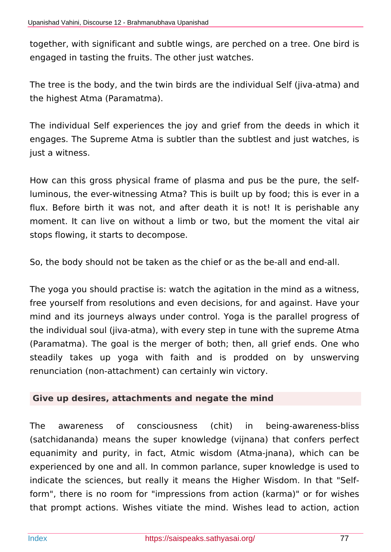together, with significant and subtle wings, are perched on a tree. One bird is engaged in tasting the fruits. The other just watches.

The tree is the body, and the twin birds are the individual Self (jiva-atma) and the highest Atma (Paramatma).

The individual Self experiences the joy and grief from the deeds in which it engages. The Supreme Atma is subtler than the subtlest and just watches, is just a witness.

How can this gross physical frame of plasma and pus be the pure, the selfluminous, the ever-witnessing Atma? This is built up by food; this is ever in a flux. Before birth it was not, and after death it is not! It is perishable any moment. It can live on without a limb or two, but the moment the vital air stops flowing, it starts to decompose.

So, the body should not be taken as the chief or as the be-all and end-all.

The yoga you should practise is: watch the agitation in the mind as a witness, free yourself from resolutions and even decisions, for and against. Have your mind and its journeys always under control. Yoga is the parallel progress of the individual soul (jiva-atma), with every step in tune with the supreme Atma (Paramatma). The goal is the merger of both; then, all grief ends. One who steadily takes up yoga with faith and is prodded on by unswerving renunciation (non-attachment) can certainly win victory.

## **Give up desires, attachments and negate the mind**

The awareness of consciousness (chit) in being-awareness-bliss (satchidananda) means the super knowledge (vijnana) that confers perfect equanimity and purity, in fact, Atmic wisdom (Atma-jnana), which can be experienced by one and all. In common parlance, super knowledge is used to indicate the sciences, but really it means the Higher Wisdom. In that "Selfform", there is no room for "impressions from action (karma)" or for wishes that prompt actions. Wishes vitiate the mind. Wishes lead to action, action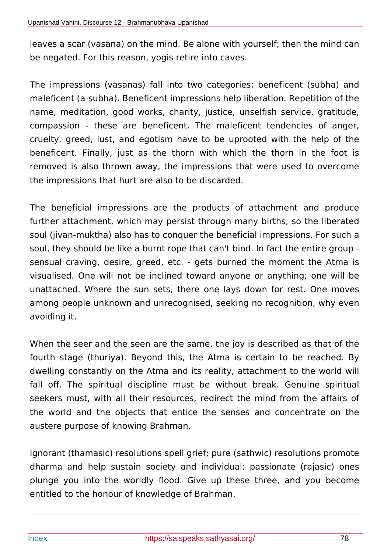leaves a scar (vasana) on the mind. Be alone with yourself; then the mind can be negated. For this reason, yogis retire into caves.

The impressions (vasanas) fall into two categories: beneficent (subha) and maleficent (a-subha). Beneficent impressions help liberation. Repetition of the name, meditation, good works, charity, justice, unselfish service, gratitude, compassion - these are beneficent. The maleficent tendencies of anger, cruelty, greed, lust, and egotism have to be uprooted with the help of the beneficent. Finally, just as the thorn with which the thorn in the foot is removed is also thrown away, the impressions that were used to overcome the impressions that hurt are also to be discarded.

The beneficial impressions are the products of attachment and produce further attachment, which may persist through many births, so the liberated soul (jivan-muktha) also has to conquer the beneficial impressions. For such a soul, they should be like a burnt rope that can't bind. In fact the entire group sensual craving, desire, greed, etc. - gets burned the moment the Atma is visualised. One will not be inclined toward anyone or anything; one will be unattached. Where the sun sets, there one lays down for rest. One moves among people unknown and unrecognised, seeking no recognition, why even avoiding it.

When the seer and the seen are the same, the joy is described as that of the fourth stage (thuriya). Beyond this, the Atma is certain to be reached. By dwelling constantly on the Atma and its reality, attachment to the world will fall off. The spiritual discipline must be without break. Genuine spiritual seekers must, with all their resources, redirect the mind from the affairs of the world and the objects that entice the senses and concentrate on the austere purpose of knowing Brahman.

Ignorant (thamasic) resolutions spell grief; pure (sathwic) resolutions promote dharma and help sustain society and individual; passionate (rajasic) ones plunge you into the worldly flood. Give up these three, and you become entitled to the honour of knowledge of Brahman.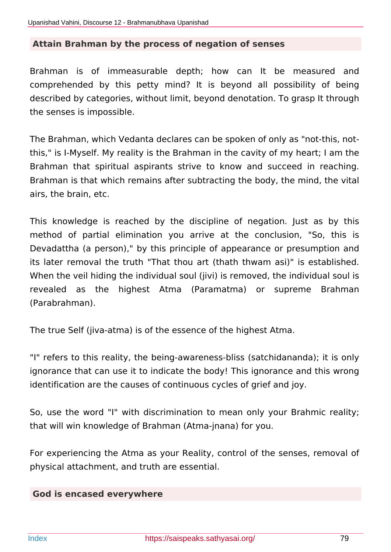#### **Attain Brahman by the process of negation of senses**

Brahman is of immeasurable depth; how can It be measured and comprehended by this petty mind? It is beyond all possibility of being described by categories, without limit, beyond denotation. To grasp It through the senses is impossible.

The Brahman, which Vedanta declares can be spoken of only as "not-this, notthis," is I-Myself. My reality is the Brahman in the cavity of my heart; I am the Brahman that spiritual aspirants strive to know and succeed in reaching. Brahman is that which remains after subtracting the body, the mind, the vital airs, the brain, etc.

This knowledge is reached by the discipline of negation. Just as by this method of partial elimination you arrive at the conclusion, "So, this is Devadattha (a person)," by this principle of appearance or presumption and its later removal the truth "That thou art (thath thwam asi)" is established. When the veil hiding the individual soul (jivi) is removed, the individual soul is revealed as the highest Atma (Paramatma) or supreme Brahman (Parabrahman).

The true Self (jiva-atma) is of the essence of the highest Atma.

"I" refers to this reality, the being-awareness-bliss (satchidananda); it is only ignorance that can use it to indicate the body! This ignorance and this wrong identification are the causes of continuous cycles of grief and joy.

So, use the word "I" with discrimination to mean only your Brahmic reality; that will win knowledge of Brahman (Atma-jnana) for you.

For experiencing the Atma as your Reality, control of the senses, removal of physical attachment, and truth are essential.

#### **God is encased everywhere**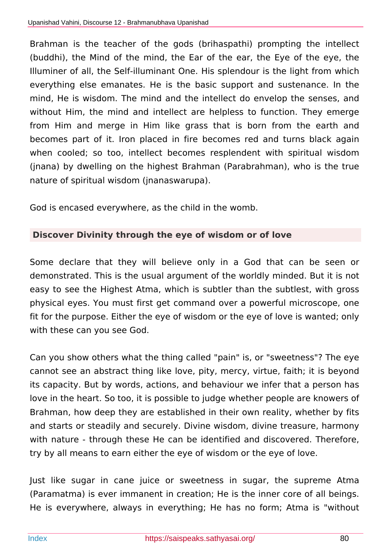Brahman is the teacher of the gods (brihaspathi) prompting the intellect (buddhi), the Mind of the mind, the Ear of the ear, the Eye of the eye, the Illuminer of all, the Self-illuminant One. His splendour is the light from which everything else emanates. He is the basic support and sustenance. In the mind, He is wisdom. The mind and the intellect do envelop the senses, and without Him, the mind and intellect are helpless to function. They emerge from Him and merge in Him like grass that is born from the earth and becomes part of it. Iron placed in fire becomes red and turns black again when cooled; so too, intellect becomes resplendent with spiritual wisdom (jnana) by dwelling on the highest Brahman (Parabrahman), who is the true nature of spiritual wisdom (jnanaswarupa).

God is encased everywhere, as the child in the womb.

# **Discover Divinity through the eye of wisdom or of love**

Some declare that they will believe only in a God that can be seen or demonstrated. This is the usual argument of the worldly minded. But it is not easy to see the Highest Atma, which is subtler than the subtlest, with gross physical eyes. You must first get command over a powerful microscope, one fit for the purpose. Either the eye of wisdom or the eye of love is wanted; only with these can you see God.

Can you show others what the thing called "pain" is, or "sweetness"? The eye cannot see an abstract thing like love, pity, mercy, virtue, faith; it is beyond its capacity. But by words, actions, and behaviour we infer that a person has love in the heart. So too, it is possible to judge whether people are knowers of Brahman, how deep they are established in their own reality, whether by fits and starts or steadily and securely. Divine wisdom, divine treasure, harmony with nature - through these He can be identified and discovered. Therefore, try by all means to earn either the eye of wisdom or the eye of love.

Just like sugar in cane juice or sweetness in sugar, the supreme Atma (Paramatma) is ever immanent in creation; He is the inner core of all beings. He is everywhere, always in everything; He has no form; Atma is "without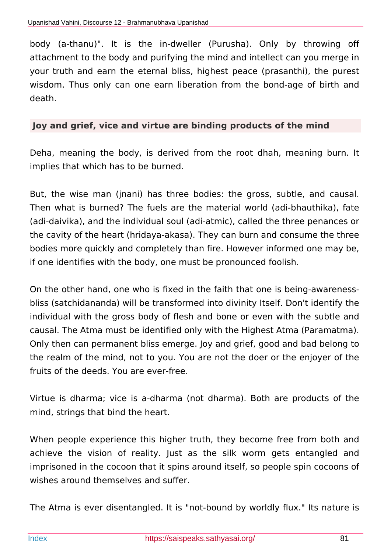body (a-thanu)". It is the in-dweller (Purusha). Only by throwing off attachment to the body and purifying the mind and intellect can you merge in your truth and earn the eternal bliss, highest peace (prasanthi), the purest wisdom. Thus only can one earn liberation from the bond-age of birth and death.

#### **Joy and grief, vice and virtue are binding products of the mind**

Deha, meaning the body, is derived from the root dhah, meaning burn. It implies that which has to be burned.

But, the wise man (jnani) has three bodies: the gross, subtle, and causal. Then what is burned? The fuels are the material world (adi-bhauthika), fate (adi-daivika), and the individual soul (adi-atmic), called the three penances or the cavity of the heart (hridaya-akasa). They can burn and consume the three bodies more quickly and completely than fire. However informed one may be, if one identifies with the body, one must be pronounced foolish.

On the other hand, one who is fixed in the faith that one is being-awarenessbliss (satchidananda) will be transformed into divinity Itself. Don't identify the individual with the gross body of flesh and bone or even with the subtle and causal. The Atma must be identified only with the Highest Atma (Paramatma). Only then can permanent bliss emerge. Joy and grief, good and bad belong to the realm of the mind, not to you. You are not the doer or the enjoyer of the fruits of the deeds. You are ever-free.

Virtue is dharma; vice is a-dharma (not dharma). Both are products of the mind, strings that bind the heart.

When people experience this higher truth, they become free from both and achieve the vision of reality. Just as the silk worm gets entangled and imprisoned in the cocoon that it spins around itself, so people spin cocoons of wishes around themselves and suffer.

The Atma is ever disentangled. It is "not-bound by worldly flux." Its nature is